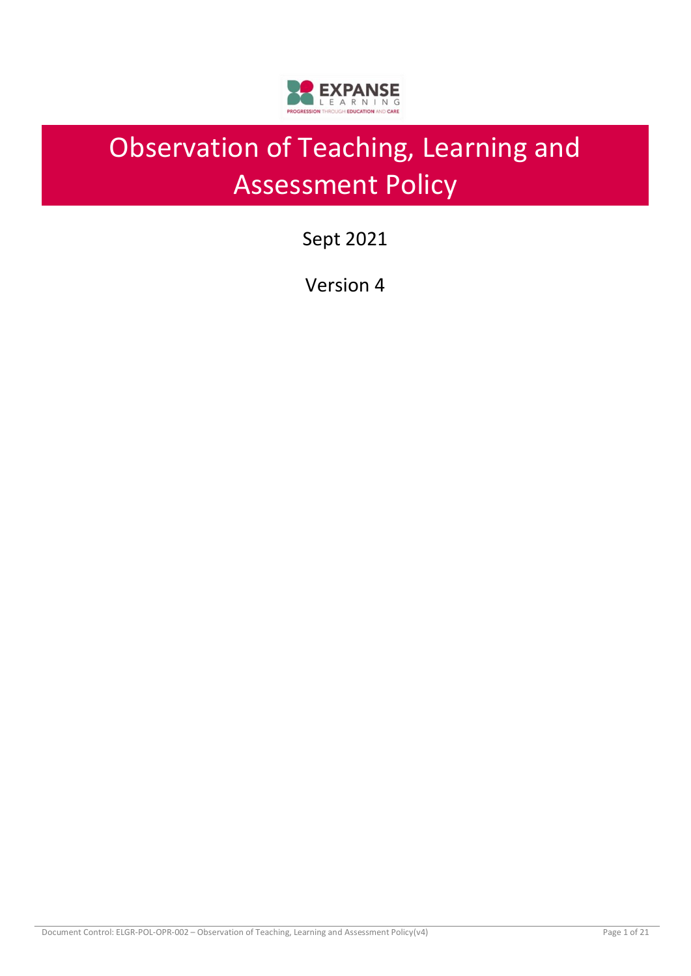

# Observation of Teaching, Learning and Assessment Policy

Sept 2021

Version 4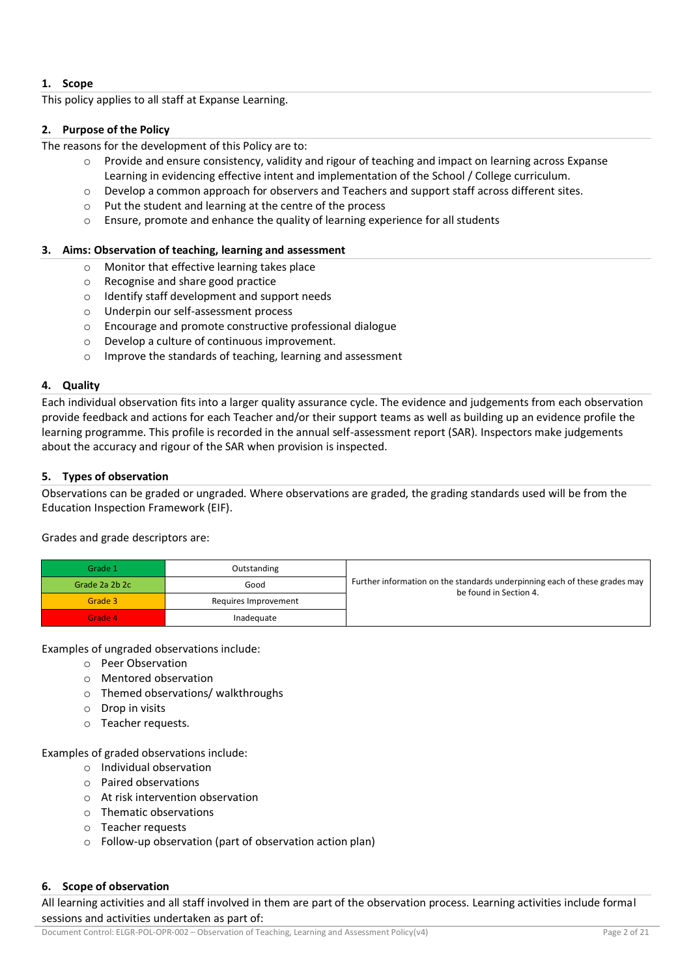# **1. Scope**

This policy applies to all staff at Expanse Learning.

# **2. Purpose of the Policy**

The reasons for the development of this Policy are to:

- $\circ$  Provide and ensure consistency, validity and rigour of teaching and impact on learning across Expanse Learning in evidencing effective intent and implementation of the School / College curriculum.
- o Develop a common approach for observers and Teachers and support staff across different sites.
- o Put the student and learning at the centre of the process
- o Ensure, promote and enhance the quality of learning experience for all students

# **3. Aims: Observation of teaching, learning and assessment**

- o Monitor that effective learning takes place
- o Recognise and share good practice
- o Identify staff development and support needs
- o Underpin our self-assessment process
- o Encourage and promote constructive professional dialogue
- o Develop a culture of continuous improvement.
- o Improve the standards of teaching, learning and assessment

# **4. Quality**

Each individual observation fits into a larger quality assurance cycle. The evidence and judgements from each observation provide feedback and actions for each Teacher and/or their support teams as well as building up an evidence profile the learning programme. This profile is recorded in the annual self-assessment report (SAR). Inspectors make judgements about the accuracy and rigour of the SAR when provision is inspected.

# **5. Types of observation**

Observations can be graded or ungraded. Where observations are graded, the grading standards used will be from the Education Inspection Framework (EIF).

Grades and grade descriptors are:

| Grade 1        | Outstanding          |                                                                                                      |
|----------------|----------------------|------------------------------------------------------------------------------------------------------|
| Grade 2a 2b 2c | Good                 | Further information on the standards underpinning each of these grades may<br>be found in Section 4. |
| Grade 3        | Requires Improvement |                                                                                                      |
| Grade 4        | Inadequate           |                                                                                                      |

Examples of ungraded observations include:

- o Peer Observation
- o Mentored observation
- o Themed observations/ walkthroughs
- o Drop in visits
- o Teacher requests.

Examples of graded observations include:

- o Individual observation
- o Paired observations
- o At risk intervention observation
- o Thematic observations
- o Teacher requests
- o Follow-up observation (part of observation action plan)

#### **6. Scope of observation**

All learning activities and all staff involved in them are part of the observation process. Learning activities include formal sessions and activities undertaken as part of: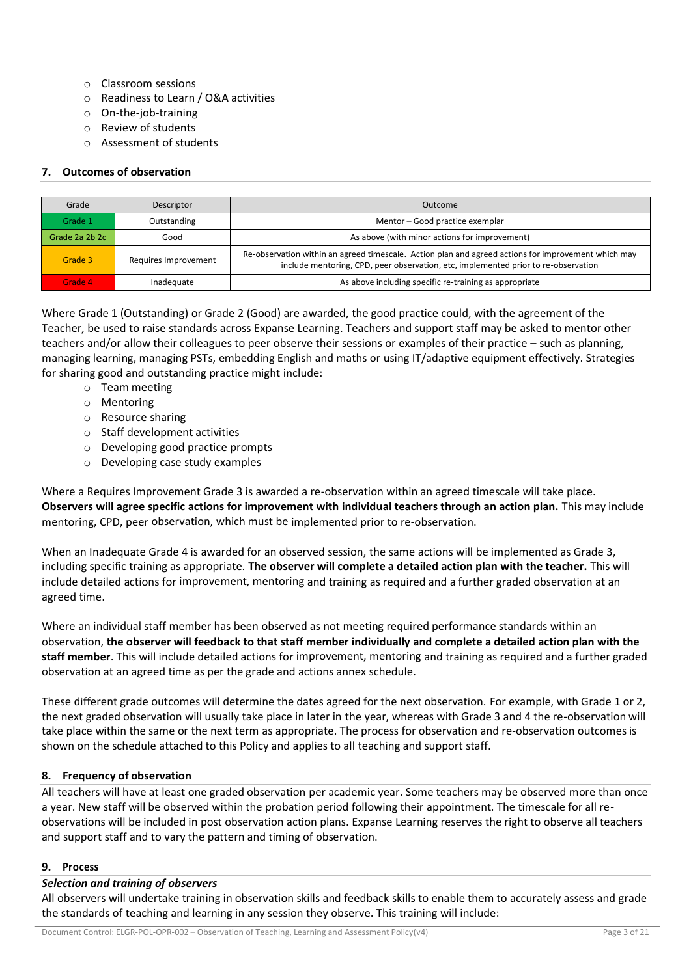- o Classroom sessions
- o Readiness to Learn / O&A activities
- o On-the-job-training
- o Review of students
- o Assessment of students

# **7. Outcomes of observation**

| Grade          | Descriptor                                                                                                                                                                                                        | Outcome                                                |
|----------------|-------------------------------------------------------------------------------------------------------------------------------------------------------------------------------------------------------------------|--------------------------------------------------------|
| Grade 1        | Outstanding                                                                                                                                                                                                       | Mentor – Good practice exemplar                        |
| Grade 2a 2b 2c | Good                                                                                                                                                                                                              | As above (with minor actions for improvement)          |
| Grade 3        | Re-observation within an agreed timescale. Action plan and agreed actions for improvement which may<br>Requires Improvement<br>include mentoring, CPD, peer observation, etc, implemented prior to re-observation |                                                        |
| Grade 4        | Inadequate                                                                                                                                                                                                        | As above including specific re-training as appropriate |

Where Grade 1 (Outstanding) or Grade 2 (Good) are awarded, the good practice could, with the agreement of the Teacher, be used to raise standards across Expanse Learning. Teachers and support staff may be asked to mentor other teachers and/or allow their colleagues to peer observe their sessions or examples of their practice – such as planning, managing learning, managing PSTs, embedding English and maths or using IT/adaptive equipment effectively. Strategies for sharing good and outstanding practice might include:

- o Team meeting
- o Mentoring
- o Resource sharing
- o Staff development activities
- o Developing good practice prompts
- o Developing case study examples

Where a Requires Improvement Grade 3 is awarded a re-observation within an agreed timescale will take place. **Observers will agree specific actions for improvement with individual teachers through an action plan.** This may include mentoring, CPD, peer observation, which must be implemented prior to re-observation.

When an Inadequate Grade 4 is awarded for an observed session, the same actions will be implemented as Grade 3, including specific training as appropriate. **The observer will complete a detailed action plan with the teacher.** This will include detailed actions for improvement, mentoring and training as required and a further graded observation at an agreed time.

Where an individual staff member has been observed as not meeting required performance standards within an observation, **the observer will feedback to that staff member individually and complete a detailed action plan with the staff member**. This will include detailed actions for improvement, mentoring and training as required and a further graded observation at an agreed time as per the grade and actions annex schedule.

These different grade outcomes will determine the dates agreed for the next observation. For example, with Grade 1 or 2, the next graded observation will usually take place in later in the year, whereas with Grade 3 and 4 the re-observation will take place within the same or the next term as appropriate. The process for observation and re-observation outcomes is shown on the schedule attached to this Policy and applies to all teaching and support staff.

# **8. Frequency of observation**

All teachers will have at least one graded observation per academic year. Some teachers may be observed more than once a year. New staff will be observed within the probation period following their appointment. The timescale for all reobservations will be included in post observation action plans. Expanse Learning reserves the right to observe all teachers and support staff and to vary the pattern and timing of observation.

# **9. Process**

# *Selection and training of observers*

All observers will undertake training in observation skills and feedback skills to enable them to accurately assess and grade the standards of teaching and learning in any session they observe. This training will include: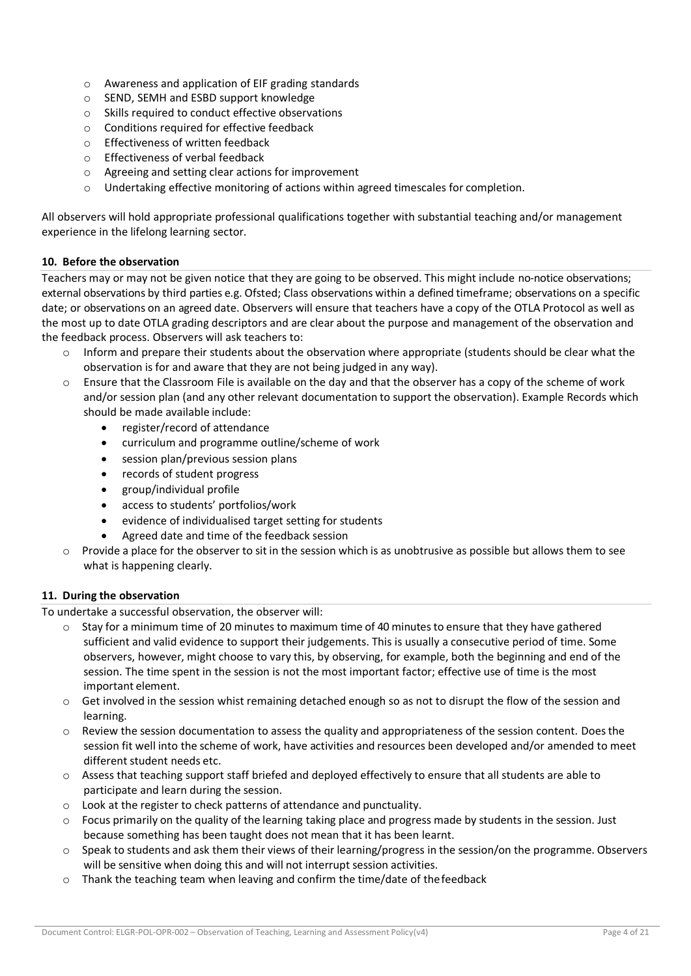- o Awareness and application of EIF grading standards
- o SEND, SEMH and ESBD support knowledge
- o Skills required to conduct effective observations
- o Conditions required for effective feedback
- o Effectiveness of written feedback
- o Effectiveness of verbal feedback
- o Agreeing and setting clear actions for improvement
- o Undertaking effective monitoring of actions within agreed timescales for completion.

All observers will hold appropriate professional qualifications together with substantial teaching and/or management experience in the lifelong learning sector.

#### **10. Before the observation**

Teachers may or may not be given notice that they are going to be observed. This might include no-notice observations; external observations by third parties e.g. Ofsted; Class observations within a defined timeframe; observations on a specific date; or observations on an agreed date. Observers will ensure that teachers have a copy of the OTLA Protocol as well as the most up to date OTLA grading descriptors and are clear about the purpose and management of the observation and the feedback process. Observers will ask teachers to:

- $\circ$  Inform and prepare their students about the observation where appropriate (students should be clear what the observation is for and aware that they are not being judged in any way).
- $\circ$  Ensure that the Classroom File is available on the day and that the observer has a copy of the scheme of work and/or session plan (and any other relevant documentation to support the observation). Example Records which should be made available include:
	- register/record of attendance
	- curriculum and programme outline/scheme of work
	- session plan/previous session plans
	- records of student progress
	- group/individual profile
	- access to students' portfolios/work
	- evidence of individualised target setting for students
	- Agreed date and time of the feedback session
- $\circ$  Provide a place for the observer to sit in the session which is as unobtrusive as possible but allows them to see what is happening clearly.

#### **11. During the observation**

To undertake a successful observation, the observer will:

- $\circ$  Stay for a minimum time of 20 minutes to maximum time of 40 minutes to ensure that they have gathered sufficient and valid evidence to support their judgements. This is usually a consecutive period of time. Some observers, however, might choose to vary this, by observing, for example, both the beginning and end of the session. The time spent in the session is not the most important factor; effective use of time is the most important element.
- o Get involved in the session whist remaining detached enough so as not to disrupt the flow of the session and learning.
- $\circ$  Review the session documentation to assess the quality and appropriateness of the session content. Does the session fit well into the scheme of work, have activities and resources been developed and/or amended to meet different student needs etc.
- o Assess that teaching support staff briefed and deployed effectively to ensure that all students are able to participate and learn during the session.
- o Look at the register to check patterns of attendance and punctuality.
- $\circ$  Focus primarily on the quality of the learning taking place and progress made by students in the session. Just because something has been taught does not mean that it has been learnt.
- $\circ$  Speak to students and ask them their views of their learning/progress in the session/on the programme. Observers will be sensitive when doing this and will not interrupt session activities.
- o Thank the teaching team when leaving and confirm the time/date of thefeedback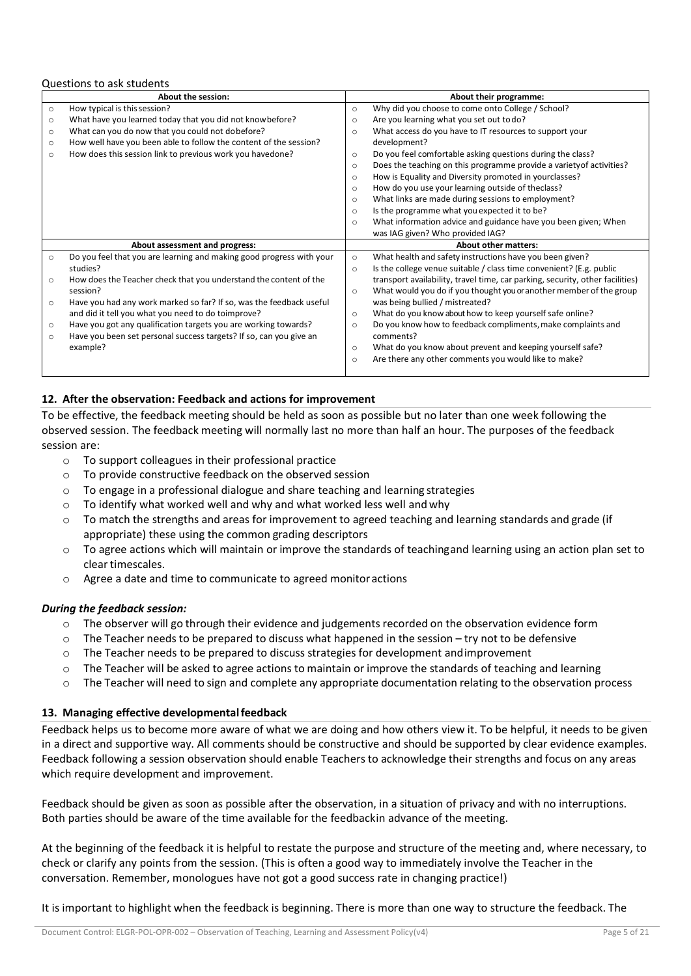#### Questions to ask students

|         | <b>About the session:</b>                                            | About their programme:                                                        |  |
|---------|----------------------------------------------------------------------|-------------------------------------------------------------------------------|--|
| $\circ$ | How typical is this session?                                         | Why did you choose to come onto College / School?                             |  |
| $\circ$ | What have you learned today that you did not knowbefore?             | Are you learning what you set out to do?                                      |  |
| $\circ$ | What can you do now that you could not dobefore?                     | What access do you have to IT resources to support your                       |  |
| $\circ$ | How well have you been able to follow the content of the session?    | development?                                                                  |  |
| $\circ$ | How does this session link to previous work you havedone?            | Do you feel comfortable asking questions during the class?                    |  |
|         |                                                                      | Does the teaching on this programme provide a variety of activities?          |  |
|         |                                                                      | How is Equality and Diversity promoted in yourclasses?                        |  |
|         |                                                                      | How do you use your learning outside of theclass?                             |  |
|         |                                                                      | What links are made during sessions to employment?                            |  |
|         |                                                                      | Is the programme what you expected it to be?                                  |  |
|         |                                                                      | What information advice and guidance have you been given; When                |  |
|         |                                                                      | was IAG given? Who provided IAG?                                              |  |
|         | About assessment and progress:                                       | <b>About other matters:</b>                                                   |  |
| $\circ$ | Do you feel that you are learning and making good progress with your | What health and safety instructions have you been given?                      |  |
|         | studies?                                                             | Is the college venue suitable / class time convenient? (E.g. public           |  |
| $\circ$ | How does the Teacher check that you understand the content of the    | transport availability, travel time, car parking, security, other facilities) |  |
|         | session?                                                             | What would you do if you thought you or another member of the group           |  |
| $\circ$ | Have you had any work marked so far? If so, was the feedback useful  | was being bullied / mistreated?                                               |  |
|         | and did it tell you what you need to do toimprove?                   | What do you know about how to keep yourself safe online?                      |  |
| $\circ$ | Have you got any qualification targets you are working towards?      | Do you know how to feedback compliments, make complaints and                  |  |
| $\circ$ | Have you been set personal success targets? If so, can you give an   | comments?                                                                     |  |
|         | example?                                                             | What do you know about prevent and keeping yourself safe?                     |  |
|         |                                                                      | Are there any other comments you would like to make?                          |  |
|         |                                                                      |                                                                               |  |

## **12. After the observation: Feedback and actions for improvement**

To be effective, the feedback meeting should be held as soon as possible but no later than one week following the observed session. The feedback meeting will normally last no more than half an hour. The purposes of the feedback session are:

- o To support colleagues in their professional practice
- o To provide constructive feedback on the observed session
- $\circ$  To engage in a professional dialogue and share teaching and learning strategies
- $\circ$  To identify what worked well and why and what worked less well and why
- $\circ$  To match the strengths and areas for improvement to agreed teaching and learning standards and grade (if appropriate) these using the common grading descriptors
- o To agree actions which will maintain or improve the standards of teachingand learning using an action plan set to clear timescales.
- o Agree a date and time to communicate to agreed monitor actions

#### *During the feedback session:*

- o The observer will go through their evidence and judgements recorded on the observation evidence form
- $\circ$  The Teacher needs to be prepared to discuss what happened in the session try not to be defensive
- o The Teacher needs to be prepared to discuss strategies for development andimprovement
- $\circ$  The Teacher will be asked to agree actions to maintain or improve the standards of teaching and learning
- $\circ$  The Teacher will need to sign and complete any appropriate documentation relating to the observation process

#### **13. Managing effective developmentalfeedback**

Feedback helps us to become more aware of what we are doing and how others view it. To be helpful, it needs to be given in a direct and supportive way. All comments should be constructive and should be supported by clear evidence examples. Feedback following a session observation should enable Teachers to acknowledge their strengths and focus on any areas which require development and improvement.

Feedback should be given as soon as possible after the observation, in a situation of privacy and with no interruptions. Both parties should be aware of the time available for the feedbackin advance of the meeting.

At the beginning of the feedback it is helpful to restate the purpose and structure of the meeting and, where necessary, to check or clarify any points from the session. (This is often a good way to immediately involve the Teacher in the conversation. Remember, monologues have not got a good success rate in changing practice!)

It is important to highlight when the feedback is beginning. There is more than one way to structure the feedback. The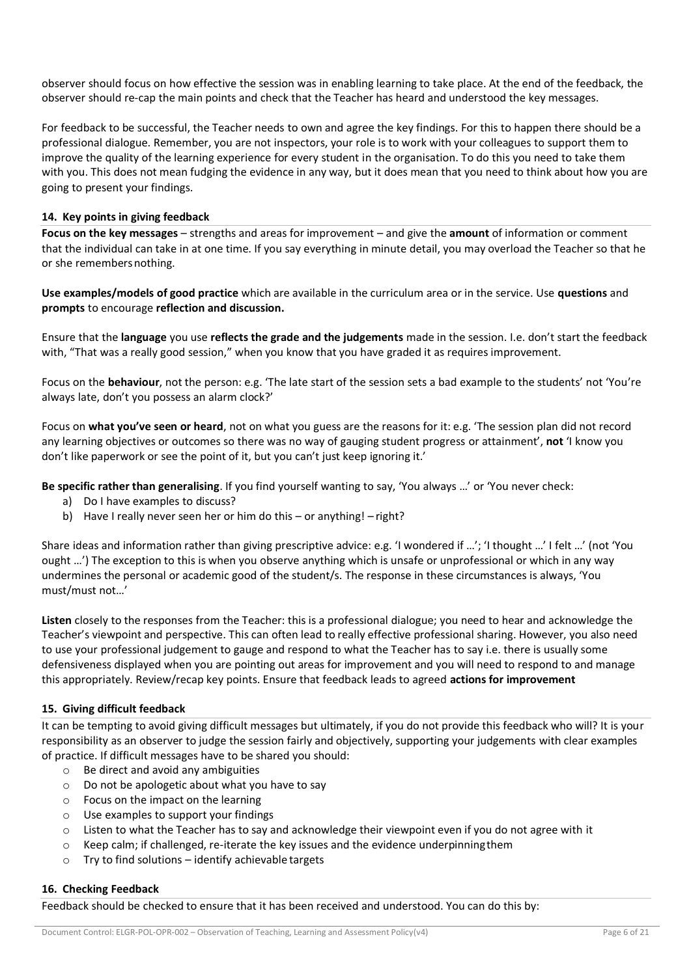observer should focus on how effective the session was in enabling learning to take place. At the end of the feedback, the observer should re-cap the main points and check that the Teacher has heard and understood the key messages.

For feedback to be successful, the Teacher needs to own and agree the key findings. For this to happen there should be a professional dialogue. Remember, you are not inspectors, your role is to work with your colleagues to support them to improve the quality of the learning experience for every student in the organisation. To do this you need to take them with you. This does not mean fudging the evidence in any way, but it does mean that you need to think about how you are going to present your findings.

## **14. Key points in giving feedback**

**Focus on the key messages** – strengths and areas for improvement – and give the **amount** of information or comment that the individual can take in at one time. If you say everything in minute detail, you may overload the Teacher so that he or she remembersnothing.

**Use examples/models of good practice** which are available in the curriculum area or in the service. Use **questions** and **prompts** to encourage **reflection and discussion.**

Ensure that the **language** you use **reflects the grade and the judgements** made in the session. I.e. don't start the feedback with, "That was a really good session," when you know that you have graded it as requires improvement.

Focus on the **behaviour**, not the person: e.g. 'The late start of the session sets a bad example to the students' not 'You're always late, don't you possess an alarm clock?'

Focus on **what you've seen or heard**, not on what you guess are the reasons for it: e.g. 'The session plan did not record any learning objectives or outcomes so there was no way of gauging student progress or attainment', **not** 'I know you don't like paperwork or see the point of it, but you can't just keep ignoring it.'

**Be specific rather than generalising**. If you find yourself wanting to say, 'You always …' or 'You never check:

- a) Do I have examples to discuss?
- b) Have I really never seen her or him do this or anything! right?

Share ideas and information rather than giving prescriptive advice: e.g. 'I wondered if …'; 'I thought …' I felt …' (not 'You ought …') The exception to this is when you observe anything which is unsafe or unprofessional or which in any way undermines the personal or academic good of the student/s. The response in these circumstances is always, 'You must/must not…'

**Listen** closely to the responses from the Teacher: this is a professional dialogue; you need to hear and acknowledge the Teacher's viewpoint and perspective. This can often lead to really effective professional sharing. However, you also need to use your professional judgement to gauge and respond to what the Teacher has to say i.e. there is usually some defensiveness displayed when you are pointing out areas for improvement and you will need to respond to and manage this appropriately. Review/recap key points. Ensure that feedback leads to agreed **actions for improvement**

#### **15. Giving difficult feedback**

It can be tempting to avoid giving difficult messages but ultimately, if you do not provide this feedback who will? It is your responsibility as an observer to judge the session fairly and objectively, supporting your judgements with clear examples of practice. If difficult messages have to be shared you should:

- $\circ$  Be direct and avoid any ambiguities
- o Do not be apologetic about what you have to say
- o Focus on the impact on the learning
- o Use examples to support your findings
- o Listen to what the Teacher has to say and acknowledge their viewpoint even if you do not agree with it
- $\circ$  Keep calm; if challenged, re-iterate the key issues and the evidence underpinning them
- o Try to find solutions identify achievable targets

#### **16. Checking Feedback**

Feedback should be checked to ensure that it has been received and understood. You can do this by: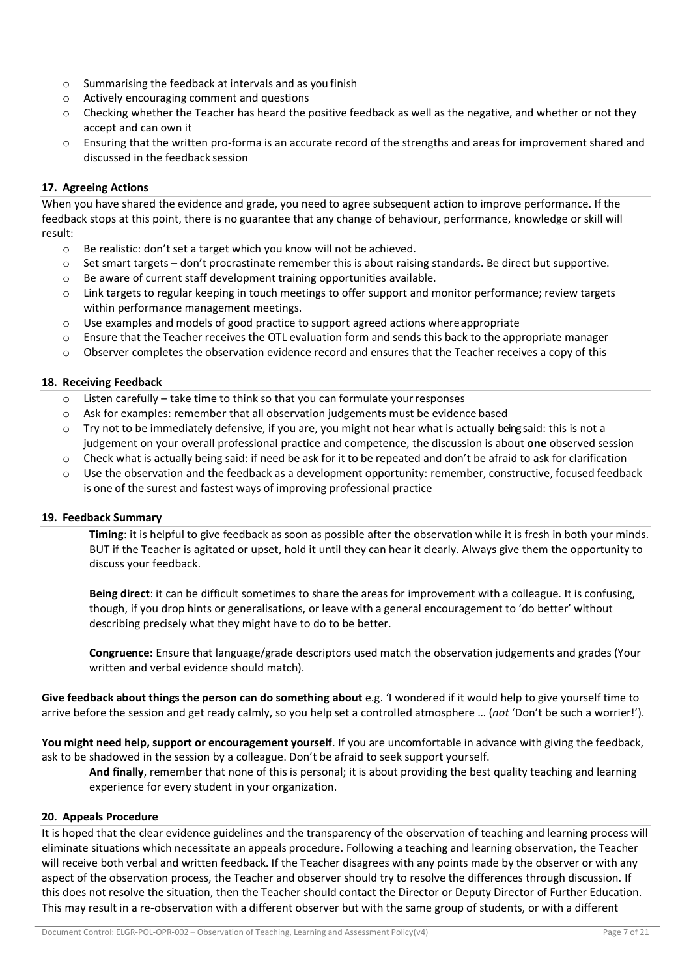- o Summarising the feedback at intervals and as you finish
- o Actively encouraging comment and questions
- $\circ$  Checking whether the Teacher has heard the positive feedback as well as the negative, and whether or not they accept and can own it
- o Ensuring that the written pro-forma is an accurate record of the strengths and areas for improvement shared and discussed in the feedback session

# **17. Agreeing Actions**

When you have shared the evidence and grade, you need to agree subsequent action to improve performance. If the feedback stops at this point, there is no guarantee that any change of behaviour, performance, knowledge or skill will result:

- o Be realistic: don't set a target which you know will not be achieved.
- o Set smart targets don't procrastinate remember this is about raising standards. Be direct but supportive.
- o Be aware of current staff development training opportunities available.
- o Link targets to regular keeping in touch meetings to offer support and monitor performance; review targets within performance management meetings.
- $\circ$  Use examples and models of good practice to support agreed actions where appropriate
- $\circ$  Ensure that the Teacher receives the OTL evaluation form and sends this back to the appropriate manager
- $\circ$  Observer completes the observation evidence record and ensures that the Teacher receives a copy of this

# **18. Receiving Feedback**

- o Listen carefully take time to think so that you can formulate yourresponses
- $\circ$  Ask for examples: remember that all observation judgements must be evidence based
- $\circ$  Try not to be immediately defensive, if you are, you might not hear what is actually being said: this is not a judgement on your overall professional practice and competence, the discussion is about **one** observed session
- $\circ$  Check what is actually being said: if need be ask for it to be repeated and don't be afraid to ask for clarification
- o Use the observation and the feedback as a development opportunity: remember, constructive, focused feedback is one of the surest and fastest ways of improving professional practice

# **19. Feedback Summary**

**Timing**: it is helpful to give feedback as soon as possible after the observation while it is fresh in both your minds. BUT if the Teacher is agitated or upset, hold it until they can hear it clearly. Always give them the opportunity to discuss your feedback.

**Being direct**: it can be difficult sometimes to share the areas for improvement with a colleague. It is confusing, though, if you drop hints or generalisations, or leave with a general encouragement to 'do better' without describing precisely what they might have to do to be better.

**Congruence:** Ensure that language/grade descriptors used match the observation judgements and grades (Your written and verbal evidence should match).

**Give feedback about things the person can do something about** e.g. 'I wondered if it would help to give yourself time to arrive before the session and get ready calmly, so you help set a controlled atmosphere … (*not* 'Don't be such a worrier!').

**You might need help, support or encouragement yourself**. If you are uncomfortable in advance with giving the feedback, ask to be shadowed in the session by a colleague. Don't be afraid to seek support yourself.

**And finally**, remember that none of this is personal; it is about providing the best quality teaching and learning experience for every student in your organization.

# **20. Appeals Procedure**

It is hoped that the clear evidence guidelines and the transparency of the observation of teaching and learning process will eliminate situations which necessitate an appeals procedure. Following a teaching and learning observation, the Teacher will receive both verbal and written feedback. If the Teacher disagrees with any points made by the observer or with any aspect of the observation process, the Teacher and observer should try to resolve the differences through discussion. If this does not resolve the situation, then the Teacher should contact the Director or Deputy Director of Further Education. This may result in a re-observation with a different observer but with the same group of students, or with a different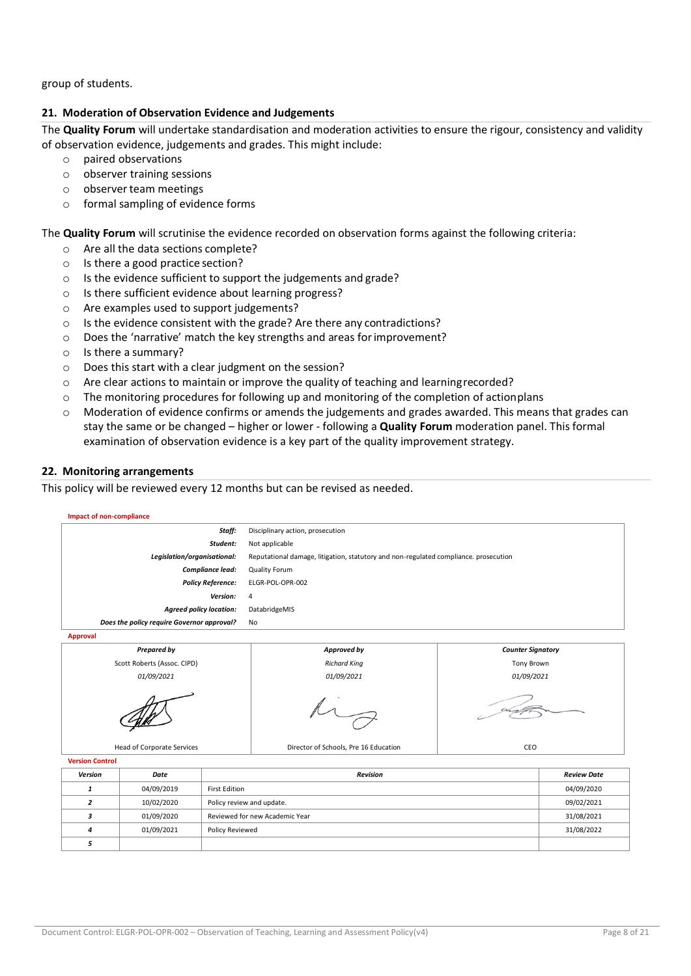group of students.

## **21. Moderation of Observation Evidence and Judgements**

The **Quality Forum** will undertake standardisation and moderation activities to ensure the rigour, consistency and validity of observation evidence, judgements and grades. This might include:

- o paired observations
- o observer training sessions
- o observer team meetings
- o formal sampling of evidence forms

The **Quality Forum** will scrutinise the evidence recorded on observation forms against the following criteria:

- o Are all the data sections complete?
- o Is there a good practice section?
- o Is the evidence sufficient to support the judgements and grade?
- o Is there sufficient evidence about learning progress?
- o Are examples used to support judgements?
- o Is the evidence consistent with the grade? Are there any contradictions?
- o Does the 'narrative' match the key strengths and areas forimprovement?
- o Is there a summary?
- o Does this start with a clear judgment on the session?
- $\circ$  Are clear actions to maintain or improve the quality of teaching and learning recorded?
- $\circ$  The monitoring procedures for following up and monitoring of the completion of actionplans
- o Moderation of evidence confirms or amends the judgements and grades awarded. This means that grades can stay the same or be changed – higher or lower - following a **Quality Forum** moderation panel. This formal examination of observation evidence is a key part of the quality improvement strategy.

#### **22. Monitoring arrangements**

This policy will be reviewed every 12 months but can be revised as needed.

| <b>Impact of non-compliance</b> |                                            |                                              |                                                                                      |     |            |  |
|---------------------------------|--------------------------------------------|----------------------------------------------|--------------------------------------------------------------------------------------|-----|------------|--|
|                                 |                                            | Staff:                                       | Disciplinary action, prosecution                                                     |     |            |  |
|                                 |                                            | Student:                                     | Not applicable                                                                       |     |            |  |
|                                 | Legislation/organisational:                |                                              | Reputational damage, litigation, statutory and non-regulated compliance. prosecution |     |            |  |
|                                 |                                            | Compliance lead:                             | <b>Quality Forum</b>                                                                 |     |            |  |
|                                 |                                            | <b>Policy Reference:</b>                     | ELGR-POL-OPR-002                                                                     |     |            |  |
|                                 |                                            | Version:                                     | 4                                                                                    |     |            |  |
|                                 | <b>Agreed policy location:</b>             |                                              | DatabridgeMIS                                                                        |     |            |  |
|                                 | Does the policy require Governor approval? |                                              | <b>No</b>                                                                            |     |            |  |
| <b>Approval</b>                 |                                            |                                              |                                                                                      |     |            |  |
|                                 | <b>Prepared by</b>                         | Approved by<br><b>Counter Signatory</b>      |                                                                                      |     |            |  |
| Scott Roberts (Assoc. CIPD)     |                                            | <b>Richard King</b>                          | Tony Brown                                                                           |     |            |  |
|                                 | 01/09/2021<br>01/09/2021<br>01/09/2021     |                                              |                                                                                      |     |            |  |
|                                 |                                            |                                              |                                                                                      |     |            |  |
|                                 | Head of Corporate Services                 |                                              | Director of Schools, Pre 16 Education                                                | CEO |            |  |
| <b>Version Control</b>          |                                            |                                              |                                                                                      |     |            |  |
| Version                         | Date                                       | <b>Revision</b><br><b>Review Date</b>        |                                                                                      |     |            |  |
| $\mathbf{1}$                    | 04/09/2019                                 | <b>First Edition</b><br>04/09/2020           |                                                                                      |     |            |  |
| $\overline{2}$                  | 10/02/2020                                 | Policy review and update.<br>09/02/2021      |                                                                                      |     |            |  |
| 3                               | 01/09/2020                                 | Reviewed for new Academic Year<br>31/08/2021 |                                                                                      |     |            |  |
| 4                               | 01/09/2021                                 | Policy Reviewed                              |                                                                                      |     | 31/08/2022 |  |
| 5                               |                                            |                                              |                                                                                      |     |            |  |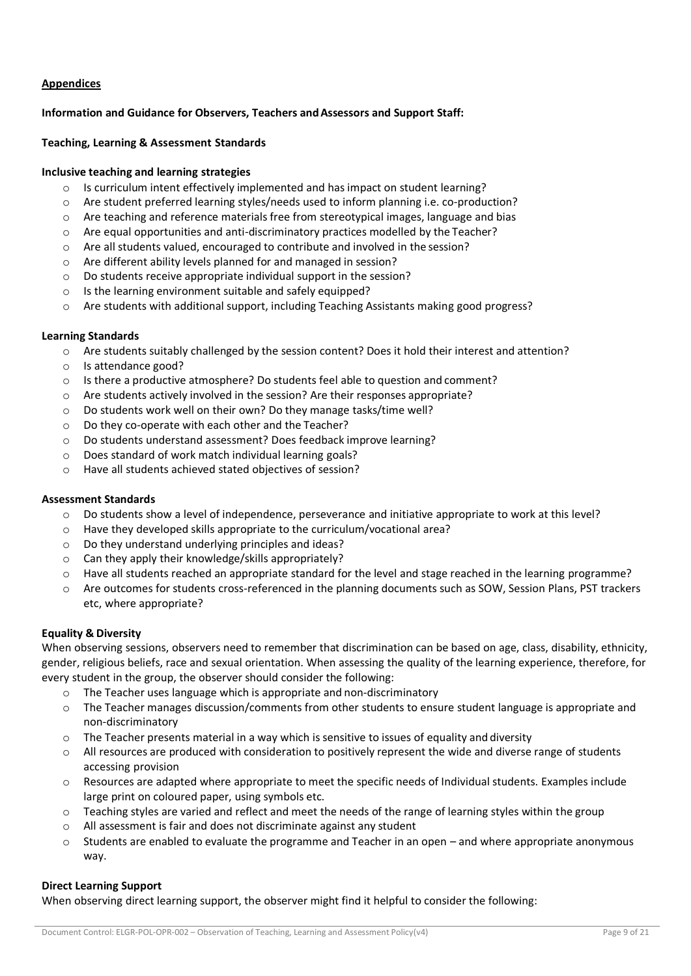# **Appendices**

## **Information and Guidance for Observers, Teachers and Assessors and Support Staff:**

#### **Teaching, Learning & Assessment Standards**

## **Inclusive teaching and learning strategies**

- $\circ$  Is curriculum intent effectively implemented and has impact on student learning?
- o Are student preferred learning styles/needs used to inform planning i.e. co-production?
- $\circ$  Are teaching and reference materials free from stereotypical images, language and bias
- o Are equal opportunities and anti-discriminatory practices modelled by the Teacher?
- o Are all students valued, encouraged to contribute and involved in the session?
- o Are different ability levels planned for and managed in session?
- o Do students receive appropriate individual support in the session?
- o Is the learning environment suitable and safely equipped?
- o Are students with additional support, including Teaching Assistants making good progress?

## **Learning Standards**

- o Are students suitably challenged by the session content? Does it hold their interest and attention?
- o Is attendance good?
- $\circ$  Is there a productive atmosphere? Do students feel able to question and comment?
- o Are students actively involved in the session? Are their responses appropriate?
- o Do students work well on their own? Do they manage tasks/time well?
- o Do they co-operate with each other and the Teacher?
- o Do students understand assessment? Does feedback improve learning?
- o Does standard of work match individual learning goals?
- o Have all students achieved stated objectives of session?

#### **Assessment Standards**

- $\circ$  Do students show a level of independence, perseverance and initiative appropriate to work at this level?
- o Have they developed skills appropriate to the curriculum/vocational area?
- o Do they understand underlying principles and ideas?
- o Can they apply their knowledge/skills appropriately?
- o Have all students reached an appropriate standard for the level and stage reached in the learning programme?
- o Are outcomes for students cross-referenced in the planning documents such as SOW, Session Plans, PST trackers etc, where appropriate?

# **Equality & Diversity**

When observing sessions, observers need to remember that discrimination can be based on age, class, disability, ethnicity, gender, religious beliefs, race and sexual orientation. When assessing the quality of the learning experience, therefore, for every student in the group, the observer should consider the following:

- $\circ$  The Teacher uses language which is appropriate and non-discriminatory
- o The Teacher manages discussion/comments from other students to ensure student language is appropriate and non-discriminatory
- $\circ$  The Teacher presents material in a way which is sensitive to issues of equality and diversity
- o All resources are produced with consideration to positively represent the wide and diverse range of students accessing provision
- $\circ$  Resources are adapted where appropriate to meet the specific needs of Individual students. Examples include large print on coloured paper, using symbols etc.
- $\circ$  Teaching styles are varied and reflect and meet the needs of the range of learning styles within the group
- o All assessment is fair and does not discriminate against any student
- $\circ$  Students are enabled to evaluate the programme and Teacher in an open and where appropriate anonymous way.

#### **Direct Learning Support**

When observing direct learning support, the observer might find it helpful to consider the following: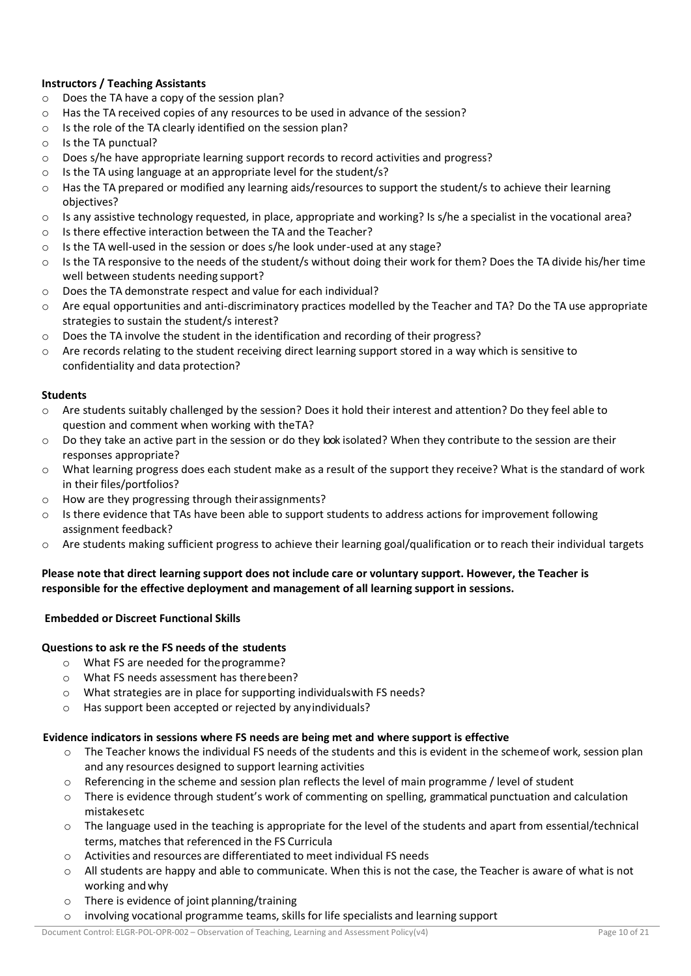# **Instructors / Teaching Assistants**

- o Does the TA have a copy of the session plan?
- o Has the TA received copies of any resources to be used in advance of the session?
- o Is the role of the TA clearly identified on the session plan?
- o Is the TA punctual?
- o Does s/he have appropriate learning support records to record activities and progress?
- o Is the TA using language at an appropriate level for the student/s?
- $\circ$  Has the TA prepared or modified any learning aids/resources to support the student/s to achieve their learning objectives?
- $\circ$  Is any assistive technology requested, in place, appropriate and working? Is s/he a specialist in the vocational area?
- $\circ$  Is there effective interaction between the TA and the Teacher?
- o Is the TA well-used in the session or does s/he look under-used at any stage?
- $\circ$  Is the TA responsive to the needs of the student/s without doing their work for them? Does the TA divide his/her time well between students needing support?
- o Does the TA demonstrate respect and value for each individual?
- o Are equal opportunities and anti-discriminatory practices modelled by the Teacher and TA? Do the TA use appropriate strategies to sustain the student/s interest?
- o Does the TA involve the student in the identification and recording of their progress?
- $\circ$  Are records relating to the student receiving direct learning support stored in a way which is sensitive to confidentiality and data protection?

# **Students**

- o Are students suitably challenged by the session? Does it hold their interest and attention? Do they feel able to question and comment when working with theTA?
- o Do they take an active part in the session or do they look isolated? When they contribute to the session are their responses appropriate?
- o What learning progress does each student make as a result of the support they receive? What is the standard of work in their files/portfolios?
- o How are they progressing through theirassignments?
- $\circ$  Is there evidence that TAs have been able to support students to address actions for improvement following assignment feedback?
- $\circ$  Are students making sufficient progress to achieve their learning goal/qualification or to reach their individual targets

# **Please note that direct learning support does not include care or voluntary support. However, the Teacher is responsible for the effective deployment and management of all learning support in sessions.**

# **Embedded or Discreet Functional Skills**

# **Questions to ask re the FS needs of the students**

- o What FS are needed for theprogramme?
- o What FS needs assessment has therebeen?
- o What strategies are in place for supporting individualswith FS needs?
- o Has support been accepted or rejected by anyindividuals?

# **Evidence indicators in sessions where FS needs are being met and where support is effective**

- o The Teacher knows the individual FS needs of the students and this is evident in the schemeof work, session plan and any resources designed to support learning activities
- $\circ$  Referencing in the scheme and session plan reflects the level of main programme / level of student
- $\circ$  There is evidence through student's work of commenting on spelling, grammatical punctuation and calculation mistakesetc
- $\circ$  The language used in the teaching is appropriate for the level of the students and apart from essential/technical terms, matches that referenced in the FS Curricula
- o Activities and resources are differentiated to meet individual FS needs
- $\circ$  All students are happy and able to communicate. When this is not the case, the Teacher is aware of what is not working andwhy
- o There is evidence of joint planning/training
- o involving vocational programme teams, skills for life specialists and learning support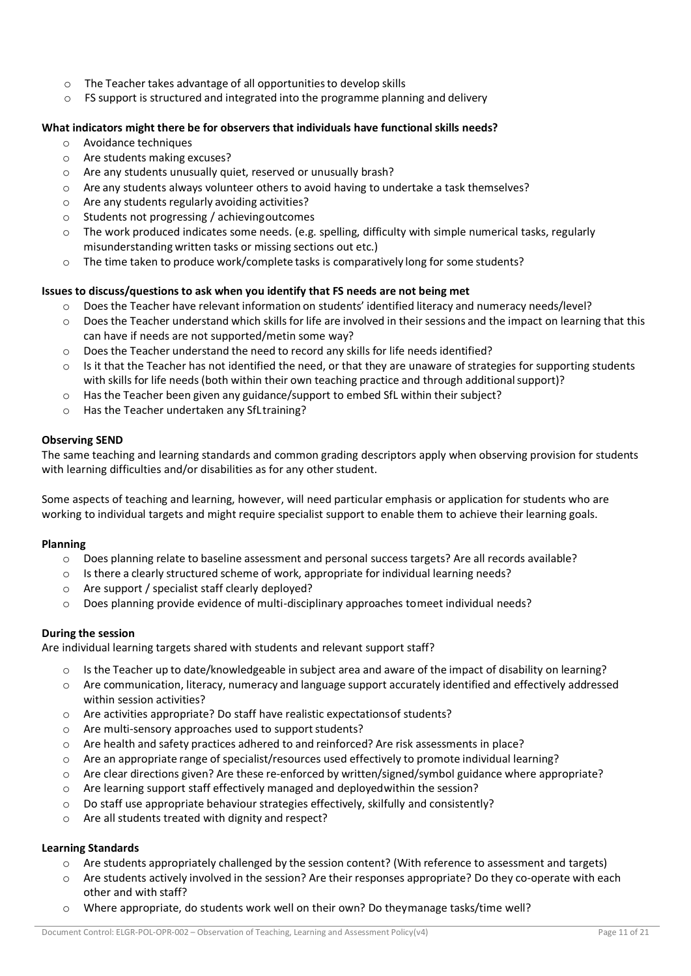- o The Teacher takes advantage of all opportunitiesto develop skills
- $\circ$  FS support is structured and integrated into the programme planning and delivery

# **What indicators might there be for observers that individuals have functional skills needs?**

- o Avoidance techniques
- o Are students making excuses?
- o Are any students unusually quiet, reserved or unusually brash?
- o Are any students always volunteer others to avoid having to undertake a task themselves?
- o Are any students regularly avoiding activities?
- o Students not progressing / achievingoutcomes
- o The work produced indicates some needs. (e.g. spelling, difficulty with simple numerical tasks, regularly misunderstanding written tasks or missing sections out etc.)
- $\circ$  The time taken to produce work/complete tasks is comparatively long for some students?

# **Issues to discuss/questions to ask when you identify that FS needs are not being met**

- o Does the Teacher have relevant information on students' identified literacy and numeracy needs/level?
- $\circ$  Does the Teacher understand which skills for life are involved in their sessions and the impact on learning that this can have if needs are not supported/metin some way?
- o Does the Teacher understand the need to record any skills for life needs identified?
- $\circ$  Is it that the Teacher has not identified the need, or that they are unaware of strategies for supporting students with skills for life needs (both within their own teaching practice and through additional support)?
- $\circ$  Has the Teacher been given any guidance/support to embed SfL within their subject?
- o Has the Teacher undertaken any SfLtraining?

# **Observing SEND**

The same teaching and learning standards and common grading descriptors apply when observing provision for students with learning difficulties and/or disabilities as for any other student.

Some aspects of teaching and learning, however, will need particular emphasis or application for students who are working to individual targets and might require specialist support to enable them to achieve their learning goals.

# **Planning**

- o Does planning relate to baseline assessment and personal success targets? Are all records available?
- o Is there a clearly structured scheme of work, appropriate for individual learning needs?
- o Are support / specialist staff clearly deployed?
- $\circ$  Does planning provide evidence of multi-disciplinary approaches tomeet individual needs?

# **During the session**

Are individual learning targets shared with students and relevant support staff?

- $\circ$  Is the Teacher up to date/knowledgeable in subject area and aware of the impact of disability on learning?
- o Are communication, literacy, numeracy and language support accurately identified and effectively addressed within session activities?
- o Are activities appropriate? Do staff have realistic expectationsof students?
- $\circ$  Are multi-sensory approaches used to support students?
- o Are health and safety practices adhered to and reinforced? Are risk assessments in place?
- o Are an appropriate range of specialist/resources used effectively to promote individual learning?
- $\circ$  Are clear directions given? Are these re-enforced by written/signed/symbol guidance where appropriate?
- o Are learning support staff effectively managed and deployedwithin the session?
- o Do staff use appropriate behaviour strategies effectively, skilfully and consistently?
- o Are all students treated with dignity and respect?

#### **Learning Standards**

- o Are students appropriately challenged by the session content? (With reference to assessment and targets)
- o Are students actively involved in the session? Are their responses appropriate? Do they co-operate with each other and with staff?
- o Where appropriate, do students work well on their own? Do theymanage tasks/time well?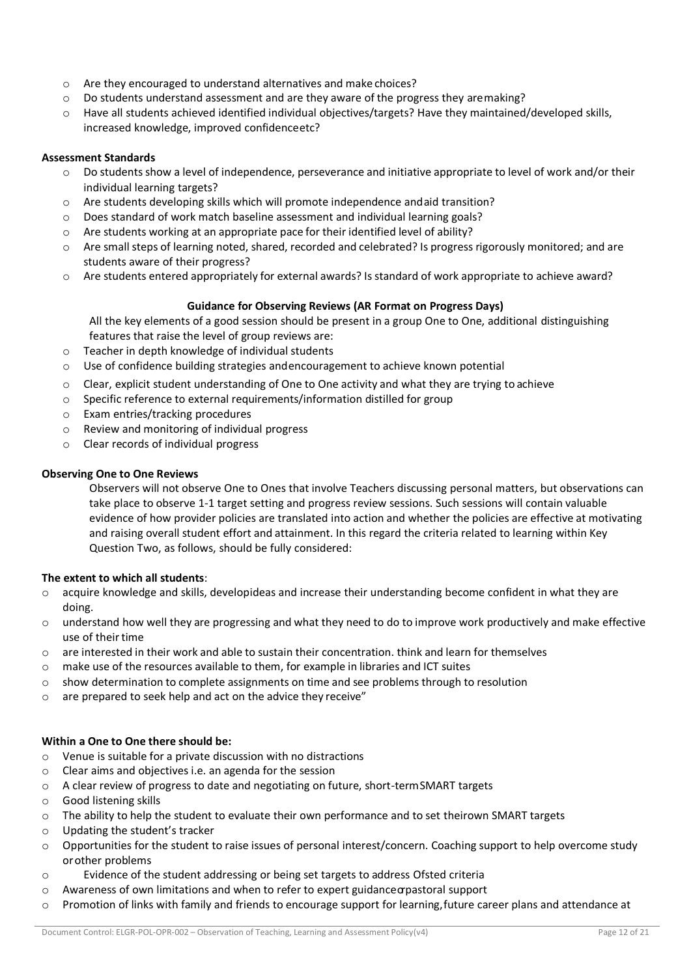- o Are they encouraged to understand alternatives and make choices?
- $\circ$  Do students understand assessment and are they aware of the progress they aremaking?
- o Have all students achieved identified individual objectives/targets? Have they maintained/developed skills, increased knowledge, improved confidenceetc?

## **Assessment Standards**

- $\circ$  Do students show a level of independence, perseverance and initiative appropriate to level of work and/or their individual learning targets?
- o Are students developing skills which will promote independence andaid transition?
- $\circ$  Does standard of work match baseline assessment and individual learning goals?
- o Are students working at an appropriate pace for their identified level of ability?
- o Are small steps of learning noted, shared, recorded and celebrated? Is progress rigorously monitored; and are students aware of their progress?
- o Are students entered appropriately for external awards? Is standard of work appropriate to achieve award?

# **Guidance for Observing Reviews (AR Format on Progress Days)**

All the key elements of a good session should be present in a group One to One, additional distinguishing features that raise the level of group reviews are:

- o Teacher in depth knowledge of individual students
- $\circ$  Use of confidence building strategies andencouragement to achieve known potential
- $\circ$  Clear, explicit student understanding of One to One activity and what they are trying to achieve
- o Specific reference to external requirements/information distilled for group
- o Exam entries/tracking procedures
- o Review and monitoring of individual progress
- o Clear records of individual progress

# **Observing One to One Reviews**

Observers will not observe One to Ones that involve Teachers discussing personal matters, but observations can take place to observe 1-1 target setting and progress review sessions. Such sessions will contain valuable evidence of how provider policies are translated into action and whether the policies are effective at motivating and raising overall student effort and attainment. In this regard the criteria related to learning within Key Question Two, as follows, should be fully considered:

# **The extent to which all students**:

- $\circ$  acquire knowledge and skills, developideas and increase their understanding become confident in what they are doing.
- o understand how well they are progressing and what they need to do to improve work productively and make effective use of their time
- $\circ$  are interested in their work and able to sustain their concentration. think and learn for themselves
- $\circ$  make use of the resources available to them, for example in libraries and ICT suites
- $\circ$  show determination to complete assignments on time and see problems through to resolution
- $\circ$  are prepared to seek help and act on the advice they receive"

# **Within a One to One there should be:**

- o Venue is suitable for a private discussion with no distractions
- o Clear aims and objectives i.e. an agenda for the session
- o A clear review of progress to date and negotiating on future, short-termSMART targets
- o Good listening skills
- o The ability to help the student to evaluate their own performance and to set theirown SMART targets
- o Updating the student's tracker
- $\circ$  Opportunities for the student to raise issues of personal interest/concern. Coaching support to help overcome study orother problems
- o Evidence of the student addressing or being set targets to address Ofsted criteria
- $\circ$  Awareness of own limitations and when to refer to expert guidance or pastoral support
- o Promotion of links with family and friends to encourage support for learning,future career plans and attendance at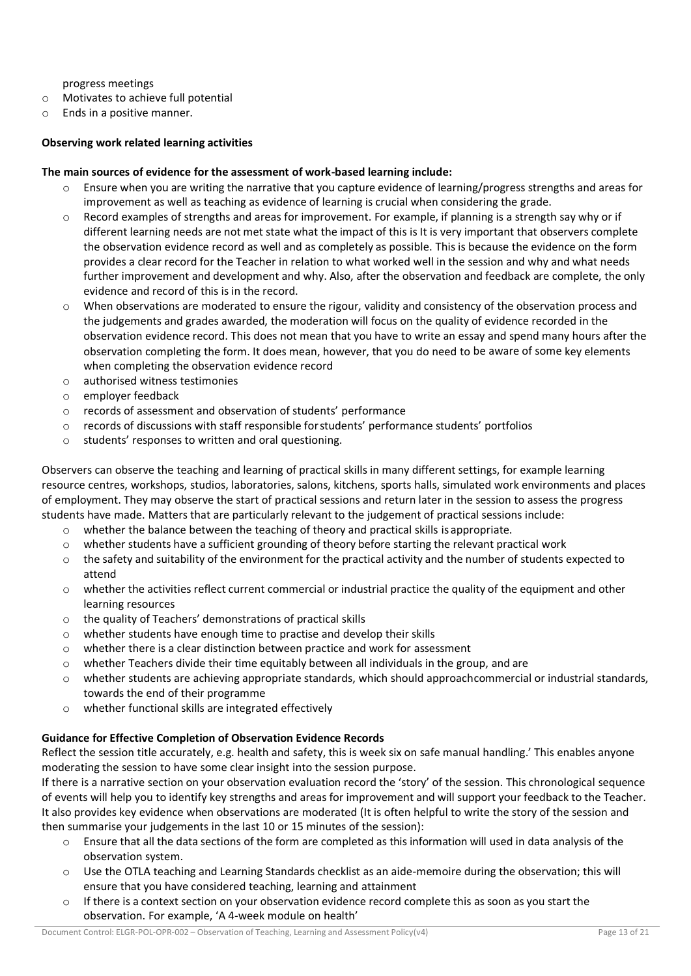progress meetings

- o Motivates to achieve full potential
- o Ends in a positive manner.

## **Observing work related learning activities**

#### **The main sources of evidence for the assessment of work-based learning include:**

- $\circ$  Ensure when you are writing the narrative that you capture evidence of learning/progress strengths and areas for improvement as well as teaching as evidence of learning is crucial when considering the grade.
- o Record examples of strengths and areas for improvement. For example, if planning is a strength say why or if different learning needs are not met state what the impact of this is It is very important that observers complete the observation evidence record as well and as completely as possible. This is because the evidence on the form provides a clear record for the Teacher in relation to what worked well in the session and why and what needs further improvement and development and why. Also, after the observation and feedback are complete, the only evidence and record of this is in the record.
- o When observations are moderated to ensure the rigour, validity and consistency of the observation process and the judgements and grades awarded, the moderation will focus on the quality of evidence recorded in the observation evidence record. This does not mean that you have to write an essay and spend many hours after the observation completing the form. It does mean, however, that you do need to be aware of some key elements when completing the observation evidence record
- o authorised witness testimonies
- o employer feedback
- o records of assessment and observation of students' performance
- $\circ$  records of discussions with staff responsible for students' performance students' portfolios
- o students' responses to written and oral questioning.

Observers can observe the teaching and learning of practical skills in many different settings, for example learning resource centres, workshops, studios, laboratories, salons, kitchens, sports halls, simulated work environments and places of employment. They may observe the start of practical sessions and return later in the session to assess the progress students have made. Matters that are particularly relevant to the judgement of practical sessions include:

- $\circ$  whether the balance between the teaching of theory and practical skills is appropriate.
- $\circ$  whether students have a sufficient grounding of theory before starting the relevant practical work
- $\circ$  the safety and suitability of the environment for the practical activity and the number of students expected to attend
- $\circ$  whether the activities reflect current commercial or industrial practice the quality of the equipment and other learning resources
- o the quality of Teachers' demonstrations of practical skills
- o whether students have enough time to practise and develop their skills
- o whether there is a clear distinction between practice and work for assessment
- $\circ$  whether Teachers divide their time equitably between all individuals in the group, and are
- o whether students are achieving appropriate standards, which should approachcommercial or industrial standards, towards the end of their programme
- o whether functional skills are integrated effectively

# **Guidance for Effective Completion of Observation Evidence Records**

Reflect the session title accurately, e.g. health and safety, this is week six on safe manual handling.' This enables anyone moderating the session to have some clear insight into the session purpose.

If there is a narrative section on your observation evaluation record the 'story' of the session. This chronological sequence of events will help you to identify key strengths and areas for improvement and will support your feedback to the Teacher. It also provides key evidence when observations are moderated (It is often helpful to write the story of the session and then summarise your judgements in the last 10 or 15 minutes of the session):

- Ensure that all the data sections of the form are completed as this information will used in data analysis of the observation system.
- $\circ$  Use the OTLA teaching and Learning Standards checklist as an aide-memoire during the observation; this will ensure that you have considered teaching, learning and attainment
- $\circ$  If there is a context section on your observation evidence record complete this as soon as you start the observation. For example, 'A 4-week module on health'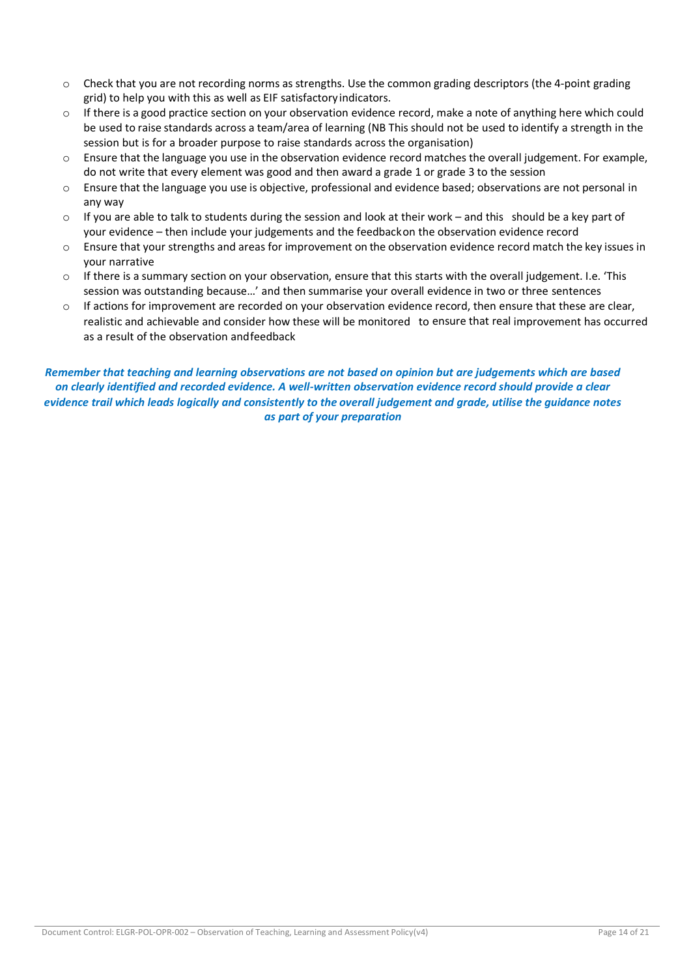- $\circ$  Check that you are not recording norms as strengths. Use the common grading descriptors (the 4-point grading grid) to help you with this as well as EIF satisfactoryindicators.
- $\circ$  If there is a good practice section on your observation evidence record, make a note of anything here which could be used to raise standards across a team/area of learning (NB This should not be used to identify a strength in the session but is for a broader purpose to raise standards across the organisation)
- o Ensure that the language you use in the observation evidence record matches the overall judgement. For example, do not write that every element was good and then award a grade 1 or grade 3 to the session
- o Ensure that the language you use is objective, professional and evidence based; observations are not personal in any way
- $\circ$  If you are able to talk to students during the session and look at their work and this should be a key part of your evidence – then include your judgements and the feedbackon the observation evidence record
- o Ensure that your strengths and areas for improvement on the observation evidence record match the key issues in your narrative
- $\circ$  If there is a summary section on your observation, ensure that this starts with the overall judgement. I.e. 'This session was outstanding because…' and then summarise your overall evidence in two or three sentences
- o If actions for improvement are recorded on your observation evidence record, then ensure that these are clear, realistic and achievable and consider how these will be monitored to ensure that real improvement has occurred as a result of the observation andfeedback

*Remember that teaching and learning observations are not based on opinion but are judgements which are based on clearly identified and recorded evidence. A well-written observation evidence record should provide a clear evidence trail which leads logically and consistently to the overall judgement and grade, utilise the guidance notes as part of your preparation*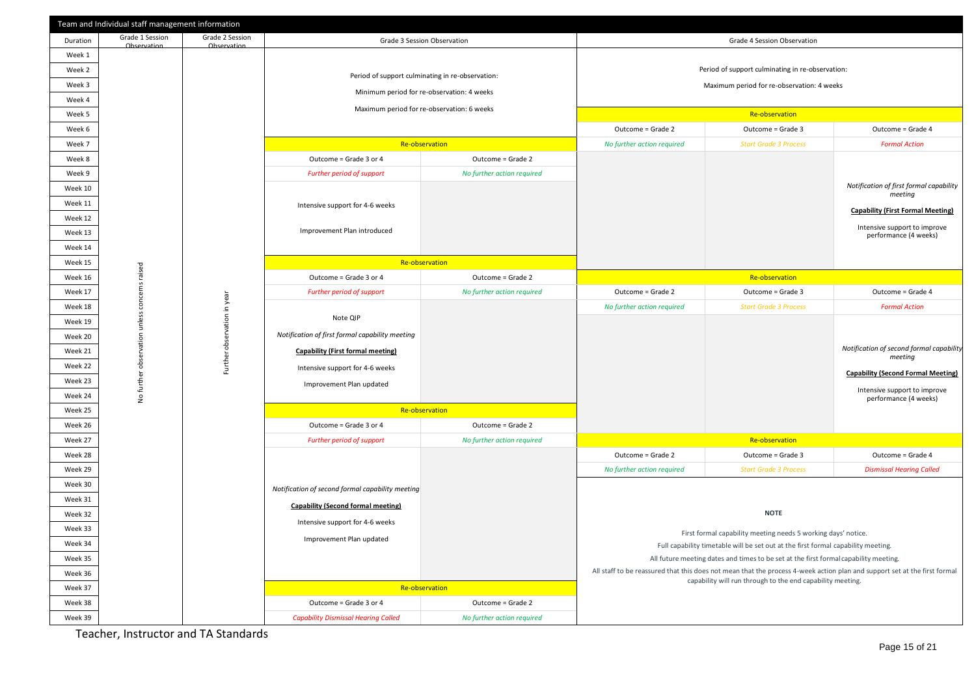|                    | Team and Individual staff management information |                                |                                                  |                                            |                                                                                                                                                                                         |                                                                                      |                                                       |
|--------------------|--------------------------------------------------|--------------------------------|--------------------------------------------------|--------------------------------------------|-----------------------------------------------------------------------------------------------------------------------------------------------------------------------------------------|--------------------------------------------------------------------------------------|-------------------------------------------------------|
| Duration           | Grade 1 Session<br>Observation                   | Grade 2 Session<br>Observation |                                                  | Grade 3 Session Observation                |                                                                                                                                                                                         | Grade 4 Session Observation                                                          |                                                       |
| Week 1             |                                                  |                                |                                                  |                                            |                                                                                                                                                                                         |                                                                                      |                                                       |
| Week 2             |                                                  |                                | Period of support culminating in re-observation: |                                            | Period of support culminating in re-observation:                                                                                                                                        |                                                                                      |                                                       |
| Week 3             |                                                  |                                | Minimum period for re-observation: 4 weeks       |                                            | Maximum period for re-observation: 4 weeks                                                                                                                                              |                                                                                      |                                                       |
| Week 4             |                                                  |                                |                                                  |                                            |                                                                                                                                                                                         |                                                                                      |                                                       |
| Week 5             |                                                  |                                |                                                  | Maximum period for re-observation: 6 weeks |                                                                                                                                                                                         | Re-observation                                                                       |                                                       |
| Week 6             |                                                  |                                |                                                  |                                            | Outcome = Grade 2                                                                                                                                                                       | Outcome = Grade 3                                                                    | Outcome = Grade 4                                     |
| Week 7             |                                                  |                                |                                                  | Re-observation                             | No further action required                                                                                                                                                              | <b>Start Grade 3 Process</b>                                                         | <b>Formal Action</b>                                  |
| Week 8             |                                                  |                                | Outcome = Grade 3 or 4                           | Outcome = Grade 2                          |                                                                                                                                                                                         |                                                                                      |                                                       |
| Week 9             |                                                  |                                | Further period of support                        | No further action required                 |                                                                                                                                                                                         |                                                                                      |                                                       |
| Week 10            |                                                  |                                |                                                  |                                            |                                                                                                                                                                                         |                                                                                      | Notification of first formal capability<br>meeting    |
| Week 11            |                                                  |                                | Intensive support for 4-6 weeks                  |                                            |                                                                                                                                                                                         |                                                                                      | <b>Capability (First Formal Meeting)</b>              |
| Week 12            |                                                  |                                |                                                  |                                            |                                                                                                                                                                                         |                                                                                      | Intensive support to improve                          |
| Week 13            |                                                  |                                | Improvement Plan introduced                      |                                            |                                                                                                                                                                                         |                                                                                      | performance (4 weeks)                                 |
| Week 14            |                                                  |                                |                                                  |                                            |                                                                                                                                                                                         |                                                                                      |                                                       |
| Week 15            |                                                  |                                |                                                  | Re-observation                             |                                                                                                                                                                                         |                                                                                      |                                                       |
| Week 16            | concems raised                                   |                                | Outcome = Grade 3 or 4                           | Outcome = Grade 2                          |                                                                                                                                                                                         | Re-observation                                                                       |                                                       |
| Week 17            |                                                  |                                | Further period of support                        | No further action required                 | Outcome = Grade 2                                                                                                                                                                       | Outcome = Grade 3                                                                    | Outcome = Grade 4                                     |
| Week 18            | Further observation in year                      |                                | Note QIP                                         |                                            | No further action required                                                                                                                                                              | <b>Start Grade 3 Process</b>                                                         | <b>Formal Action</b>                                  |
| Week 19<br>Week 20 |                                                  |                                | Notification of first formal capability meeting  |                                            |                                                                                                                                                                                         |                                                                                      |                                                       |
| Week 21            |                                                  |                                | <b>Capability (First formal meeting)</b>         |                                            |                                                                                                                                                                                         |                                                                                      | Notification of second formal capability              |
| Week 22            |                                                  |                                |                                                  |                                            |                                                                                                                                                                                         |                                                                                      | meeting                                               |
| Week 23            |                                                  |                                | Intensive support for 4-6 weeks                  |                                            |                                                                                                                                                                                         |                                                                                      | <b>Capability (Second Formal Meeting)</b>             |
| Week 24            | No further observation unless                    |                                | Improvement Plan updated                         |                                            |                                                                                                                                                                                         |                                                                                      | Intensive support to improve<br>performance (4 weeks) |
| Week 25            |                                                  |                                |                                                  | Re-observation                             |                                                                                                                                                                                         |                                                                                      |                                                       |
| Week 26            |                                                  |                                | Outcome = Grade 3 or 4                           | Outcome = Grade 2                          |                                                                                                                                                                                         |                                                                                      |                                                       |
| Week 27            |                                                  |                                | Further period of support                        | No further action required                 |                                                                                                                                                                                         | Re-observation                                                                       |                                                       |
| Week 28            |                                                  |                                |                                                  |                                            | Outcome = Grade 2                                                                                                                                                                       | Outcome = Grade 3                                                                    | Outcome = Grade 4                                     |
| Week 29            |                                                  |                                |                                                  |                                            | No further action required                                                                                                                                                              | <b>Start Grade 3 Process</b>                                                         | <b>Dismissal Hearing Called</b>                       |
| Week 30            |                                                  |                                | Notification of second formal capability meeting |                                            |                                                                                                                                                                                         |                                                                                      |                                                       |
| Week 31            |                                                  |                                | <b>Capability (Second formal meeting)</b>        |                                            |                                                                                                                                                                                         |                                                                                      |                                                       |
| Week 32            |                                                  |                                |                                                  |                                            |                                                                                                                                                                                         | <b>NOTE</b>                                                                          |                                                       |
| Week 33            |                                                  |                                | Intensive support for 4-6 weeks                  |                                            |                                                                                                                                                                                         | First formal capability meeting needs 5 working days' notice.                        |                                                       |
| Week 34            |                                                  |                                | Improvement Plan updated                         |                                            |                                                                                                                                                                                         | Full capability timetable will be set out at the first formal capability meeting.    |                                                       |
| Week 35            |                                                  |                                |                                                  |                                            |                                                                                                                                                                                         | All future meeting dates and times to be set at the first formal capability meeting. |                                                       |
| Week 36            |                                                  |                                |                                                  |                                            | All staff to be reassured that this does not mean that the process 4-week action plan and support set at the first formal<br>capability will run through to the end capability meeting. |                                                                                      |                                                       |
| Week 37            |                                                  |                                |                                                  | Re-observation                             |                                                                                                                                                                                         |                                                                                      |                                                       |
| Week 38            |                                                  |                                | Outcome = Grade 3 or 4                           | Outcome = Grade 2                          |                                                                                                                                                                                         |                                                                                      |                                                       |
| Week 39            |                                                  |                                | <b>Capability Dismissal Hearing Called</b>       | No further action required                 |                                                                                                                                                                                         |                                                                                      |                                                       |

Teacher, Instructor and TA Standards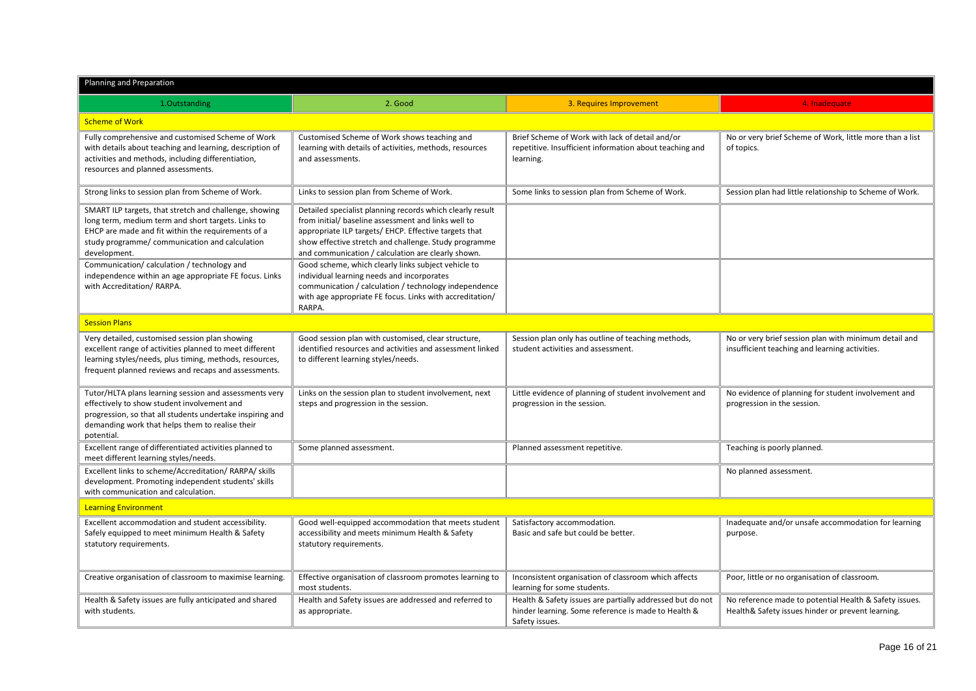| Planning and Preparation                                                                                                                                                                                                             |                                                                                                                                                                                                                                                                                          |                                                                                                                                    |                                                                                                             |  |  |  |
|--------------------------------------------------------------------------------------------------------------------------------------------------------------------------------------------------------------------------------------|------------------------------------------------------------------------------------------------------------------------------------------------------------------------------------------------------------------------------------------------------------------------------------------|------------------------------------------------------------------------------------------------------------------------------------|-------------------------------------------------------------------------------------------------------------|--|--|--|
| 1.Outstanding                                                                                                                                                                                                                        | 2. Good                                                                                                                                                                                                                                                                                  | 3. Requires Improvement                                                                                                            | 4. Inadequate                                                                                               |  |  |  |
| <b>Scheme of Work</b>                                                                                                                                                                                                                |                                                                                                                                                                                                                                                                                          |                                                                                                                                    |                                                                                                             |  |  |  |
| Fully comprehensive and customised Scheme of Work<br>with details about teaching and learning, description of<br>activities and methods, including differentiation,<br>resources and planned assessments.                            | Customised Scheme of Work shows teaching and<br>learning with details of activities, methods, resources<br>and assessments.                                                                                                                                                              | Brief Scheme of Work with lack of detail and/or<br>repetitive. Insufficient information about teaching and<br>learning.            | No or very brief Scheme of Work, little more than a list<br>of topics.                                      |  |  |  |
| Strong links to session plan from Scheme of Work.                                                                                                                                                                                    | Links to session plan from Scheme of Work.                                                                                                                                                                                                                                               | Some links to session plan from Scheme of Work.                                                                                    | Session plan had little relationship to Scheme of Work.                                                     |  |  |  |
| SMART ILP targets, that stretch and challenge, showing<br>long term, medium term and short targets. Links to<br>EHCP are made and fit within the requirements of a<br>study programme/ communication and calculation<br>development. | Detailed specialist planning records which clearly result<br>from initial/ baseline assessment and links well to<br>appropriate ILP targets/ EHCP. Effective targets that<br>show effective stretch and challenge. Study programme<br>and communication / calculation are clearly shown. |                                                                                                                                    |                                                                                                             |  |  |  |
| Communication/calculation/technology and<br>independence within an age appropriate FE focus. Links<br>with Accreditation/ RARPA.                                                                                                     | Good scheme, which clearly links subject vehicle to<br>individual learning needs and incorporates<br>communication / calculation / technology independence<br>with age appropriate FE focus. Links with accreditation/<br>RARPA.                                                         |                                                                                                                                    |                                                                                                             |  |  |  |
| <b>Session Plans</b>                                                                                                                                                                                                                 |                                                                                                                                                                                                                                                                                          |                                                                                                                                    |                                                                                                             |  |  |  |
| Very detailed, customised session plan showing<br>excellent range of activities planned to meet different<br>learning styles/needs, plus timing, methods, resources,<br>frequent planned reviews and recaps and assessments.         | Good session plan with customised, clear structure,<br>identified resources and activities and assessment linked<br>to different learning styles/needs.                                                                                                                                  | Session plan only has outline of teaching methods,<br>student activities and assessment.                                           | No or very brief session plan with minimum detail and<br>insufficient teaching and learning activities.     |  |  |  |
| Tutor/HLTA plans learning session and assessments very<br>effectively to show student involvement and<br>progression, so that all students undertake inspiring and<br>demanding work that helps them to realise their<br>potential.  | Links on the session plan to student involvement, next<br>steps and progression in the session.                                                                                                                                                                                          | Little evidence of planning of student involvement and<br>progression in the session.                                              | No evidence of planning for student involvement and<br>progression in the session.                          |  |  |  |
| Excellent range of differentiated activities planned to<br>meet different learning styles/needs.                                                                                                                                     | Some planned assessment.                                                                                                                                                                                                                                                                 | Planned assessment repetitive.                                                                                                     | Teaching is poorly planned.                                                                                 |  |  |  |
| Excellent links to scheme/Accreditation/ RARPA/ skills<br>development. Promoting independent students' skills<br>with communication and calculation.                                                                                 |                                                                                                                                                                                                                                                                                          |                                                                                                                                    | No planned assessment.                                                                                      |  |  |  |
| <b>Learning Environment</b>                                                                                                                                                                                                          |                                                                                                                                                                                                                                                                                          |                                                                                                                                    |                                                                                                             |  |  |  |
| Excellent accommodation and student accessibility.<br>Safely equipped to meet minimum Health & Safety<br>statutory requirements.                                                                                                     | Good well-equipped accommodation that meets student<br>accessibility and meets minimum Health & Safety<br>statutory requirements.                                                                                                                                                        | Satisfactory accommodation.<br>Basic and safe but could be better.                                                                 | Inadequate and/or unsafe accommodation for learning<br>purpose.                                             |  |  |  |
| Creative organisation of classroom to maximise learning.                                                                                                                                                                             | Effective organisation of classroom promotes learning to<br>most students.                                                                                                                                                                                                               | Inconsistent organisation of classroom which affects<br>learning for some students.                                                | Poor, little or no organisation of classroom.                                                               |  |  |  |
| Health & Safety issues are fully anticipated and shared<br>with students.                                                                                                                                                            | Health and Safety issues are addressed and referred to<br>as appropriate.                                                                                                                                                                                                                | Health & Safety issues are partially addressed but do not<br>hinder learning. Some reference is made to Health &<br>Safety issues. | No reference made to potential Health & Safety issues.<br>Health& Safety issues hinder or prevent learning. |  |  |  |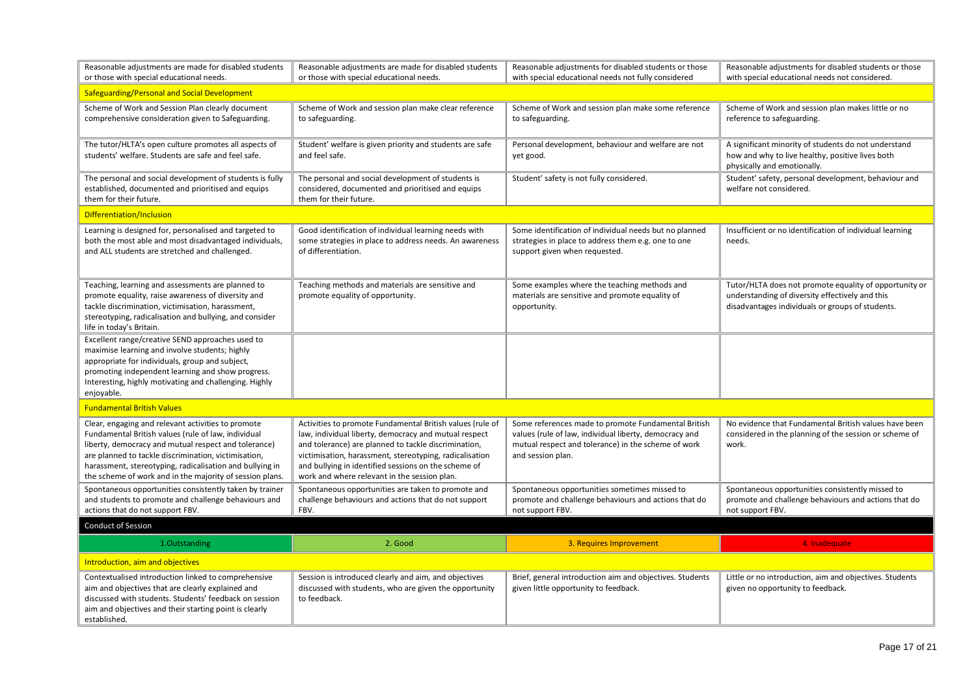| Reasonable adjustments are made for disabled students<br>or those with special educational needs.                                                                                                                                                                                                                                                 | Reasonable adjustments are made for disabled students<br>or those with special educational needs.                                                                                                                                                                                                                                             | Reasonable adjustments for disabled students or those<br>with special educational needs not fully considered                                                                              | Reasonable adjustments for disabled students or those<br>with special educational needs not considered.                                                       |
|---------------------------------------------------------------------------------------------------------------------------------------------------------------------------------------------------------------------------------------------------------------------------------------------------------------------------------------------------|-----------------------------------------------------------------------------------------------------------------------------------------------------------------------------------------------------------------------------------------------------------------------------------------------------------------------------------------------|-------------------------------------------------------------------------------------------------------------------------------------------------------------------------------------------|---------------------------------------------------------------------------------------------------------------------------------------------------------------|
| Safeguarding/Personal and Social Development                                                                                                                                                                                                                                                                                                      |                                                                                                                                                                                                                                                                                                                                               |                                                                                                                                                                                           |                                                                                                                                                               |
| Scheme of Work and Session Plan clearly document<br>comprehensive consideration given to Safeguarding.                                                                                                                                                                                                                                            | Scheme of Work and session plan make clear reference<br>to safeguarding.                                                                                                                                                                                                                                                                      | Scheme of Work and session plan make some reference<br>to safeguarding.                                                                                                                   | Scheme of Work and session plan makes little or no<br>reference to safeguarding.                                                                              |
| The tutor/HLTA's open culture promotes all aspects of<br>students' welfare. Students are safe and feel safe.                                                                                                                                                                                                                                      | Student' welfare is given priority and students are safe<br>and feel safe.                                                                                                                                                                                                                                                                    | Personal development, behaviour and welfare are not<br>yet good.                                                                                                                          | A significant minority of students do not understand<br>how and why to live healthy, positive lives both<br>physically and emotionally.                       |
| The personal and social development of students is fully<br>established, documented and prioritised and equips<br>them for their future.                                                                                                                                                                                                          | The personal and social development of students is<br>considered, documented and prioritised and equips<br>them for their future.                                                                                                                                                                                                             | Student' safety is not fully considered.                                                                                                                                                  | Student' safety, personal development, behaviour and<br>welfare not considered.                                                                               |
| Differentiation/Inclusion                                                                                                                                                                                                                                                                                                                         |                                                                                                                                                                                                                                                                                                                                               |                                                                                                                                                                                           |                                                                                                                                                               |
| Learning is designed for, personalised and targeted to<br>both the most able and most disadvantaged individuals,<br>and ALL students are stretched and challenged.                                                                                                                                                                                | Good identification of individual learning needs with<br>some strategies in place to address needs. An awareness<br>of differentiation.                                                                                                                                                                                                       | Some identification of individual needs but no planned<br>strategies in place to address them e.g. one to one<br>support given when requested.                                            | Insufficient or no identification of individual learning<br>needs.                                                                                            |
| Teaching, learning and assessments are planned to<br>promote equality, raise awareness of diversity and<br>tackle discrimination, victimisation, harassment,<br>stereotyping, radicalisation and bullying, and consider<br>life in today's Britain.                                                                                               | Teaching methods and materials are sensitive and<br>promote equality of opportunity.                                                                                                                                                                                                                                                          | Some examples where the teaching methods and<br>materials are sensitive and promote equality of<br>opportunity.                                                                           | Tutor/HLTA does not promote equality of opportunity or<br>understanding of diversity effectively and this<br>disadvantages individuals or groups of students. |
| Excellent range/creative SEND approaches used to<br>maximise learning and involve students; highly<br>appropriate for individuals, group and subject,<br>promoting independent learning and show progress.<br>Interesting, highly motivating and challenging. Highly<br>enjoyable.                                                                |                                                                                                                                                                                                                                                                                                                                               |                                                                                                                                                                                           |                                                                                                                                                               |
| <b>Fundamental British Values</b>                                                                                                                                                                                                                                                                                                                 |                                                                                                                                                                                                                                                                                                                                               |                                                                                                                                                                                           |                                                                                                                                                               |
| Clear, engaging and relevant activities to promote<br>Fundamental British values (rule of law, individual<br>liberty, democracy and mutual respect and tolerance)<br>are planned to tackle discrimination, victimisation,<br>harassment, stereotyping, radicalisation and bullying in<br>the scheme of work and in the majority of session plans. | Activities to promote Fundamental British values (rule of<br>law, individual liberty, democracy and mutual respect<br>and tolerance) are planned to tackle discrimination,<br>victimisation, harassment, stereotyping, radicalisation<br>and bullying in identified sessions on the scheme of<br>work and where relevant in the session plan. | Some references made to promote Fundamental British<br>values (rule of law, individual liberty, democracy and<br>mutual respect and tolerance) in the scheme of work<br>and session plan. | No evidence that Fundamental British values have been<br>considered in the planning of the session or scheme of<br>work.                                      |
| Spontaneous opportunities consistently taken by trainer<br>and students to promote and challenge behaviours and<br>actions that do not support FBV.                                                                                                                                                                                               | Spontaneous opportunities are taken to promote and<br>challenge behaviours and actions that do not support<br>FBV.                                                                                                                                                                                                                            | Spontaneous opportunities sometimes missed to<br>promote and challenge behaviours and actions that do<br>not support FBV.                                                                 | Spontaneous opportunities consistently missed to<br>promote and challenge behaviours and actions that do<br>not support FBV.                                  |
| <b>Conduct of Session</b>                                                                                                                                                                                                                                                                                                                         |                                                                                                                                                                                                                                                                                                                                               |                                                                                                                                                                                           |                                                                                                                                                               |
| 1.Outstanding                                                                                                                                                                                                                                                                                                                                     | 2. Good                                                                                                                                                                                                                                                                                                                                       | 3. Requires Improvement                                                                                                                                                                   | 4. Inadequate                                                                                                                                                 |
| Introduction, aim and objectives                                                                                                                                                                                                                                                                                                                  |                                                                                                                                                                                                                                                                                                                                               |                                                                                                                                                                                           |                                                                                                                                                               |
| Contextualised introduction linked to comprehensive<br>aim and objectives that are clearly explained and<br>discussed with students. Students' feedback on session<br>aim and objectives and their starting point is clearly<br>established.                                                                                                      | Session is introduced clearly and aim, and objectives<br>discussed with students, who are given the opportunity<br>to feedback.                                                                                                                                                                                                               | Brief, general introduction aim and objectives. Students<br>given little opportunity to feedback.                                                                                         | Little or no introduction, aim and objectives. Students<br>given no opportunity to feedback.                                                                  |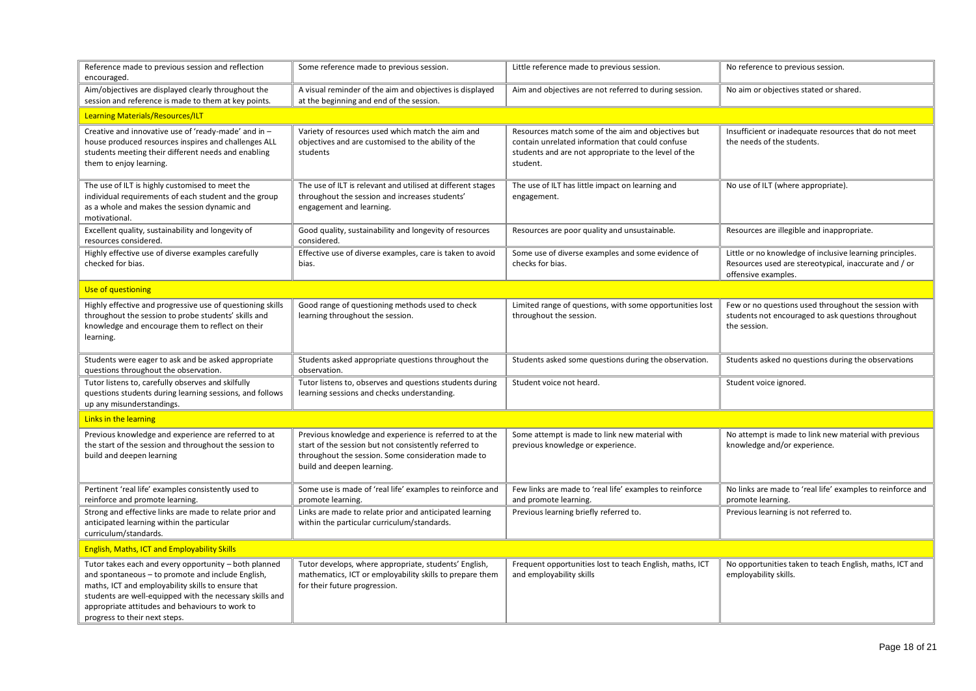| Reference made to previous session and reflection<br>encouraged.                                                                                                                                                                                                                                                 | Some reference made to previous session.                                                                                                                                                             | Little reference made to previous session.                                                                                                                                 | No reference to previous session.                                                                                                        |
|------------------------------------------------------------------------------------------------------------------------------------------------------------------------------------------------------------------------------------------------------------------------------------------------------------------|------------------------------------------------------------------------------------------------------------------------------------------------------------------------------------------------------|----------------------------------------------------------------------------------------------------------------------------------------------------------------------------|------------------------------------------------------------------------------------------------------------------------------------------|
| Aim/objectives are displayed clearly throughout the<br>session and reference is made to them at key points.                                                                                                                                                                                                      | A visual reminder of the aim and objectives is displayed<br>at the beginning and end of the session.                                                                                                 | Aim and objectives are not referred to during session.                                                                                                                     | No aim or objectives stated or shared.                                                                                                   |
| <b>Learning Materials/Resources/ILT</b>                                                                                                                                                                                                                                                                          |                                                                                                                                                                                                      |                                                                                                                                                                            |                                                                                                                                          |
| Creative and innovative use of 'ready-made' and in -<br>house produced resources inspires and challenges ALL<br>students meeting their different needs and enabling<br>them to enjoy learning.                                                                                                                   | Variety of resources used which match the aim and<br>objectives and are customised to the ability of the<br>students                                                                                 | Resources match some of the aim and objectives but<br>contain unrelated information that could confuse<br>students and are not appropriate to the level of the<br>student. | Insufficient or inadequate resources that do not meet<br>the needs of the students.                                                      |
| The use of ILT is highly customised to meet the<br>individual requirements of each student and the group<br>as a whole and makes the session dynamic and<br>motivational.                                                                                                                                        | The use of ILT is relevant and utilised at different stages<br>throughout the session and increases students'<br>engagement and learning.                                                            | The use of ILT has little impact on learning and<br>engagement.                                                                                                            | No use of ILT (where appropriate).                                                                                                       |
| Excellent quality, sustainability and longevity of<br>resources considered.                                                                                                                                                                                                                                      | Good quality, sustainability and longevity of resources<br>considered.                                                                                                                               | Resources are poor quality and unsustainable.                                                                                                                              | Resources are illegible and inappropriate.                                                                                               |
| Highly effective use of diverse examples carefully<br>checked for bias.                                                                                                                                                                                                                                          | Effective use of diverse examples, care is taken to avoid<br>bias.                                                                                                                                   | Some use of diverse examples and some evidence of<br>checks for bias.                                                                                                      | Little or no knowledge of inclusive learning principles.<br>Resources used are stereotypical, inaccurate and / or<br>offensive examples. |
| Use of questioning                                                                                                                                                                                                                                                                                               |                                                                                                                                                                                                      |                                                                                                                                                                            |                                                                                                                                          |
| Highly effective and progressive use of questioning skills<br>throughout the session to probe students' skills and<br>knowledge and encourage them to reflect on their<br>learning.                                                                                                                              | Good range of questioning methods used to check<br>learning throughout the session.                                                                                                                  | Limited range of questions, with some opportunities lost<br>throughout the session.                                                                                        | Few or no questions used throughout the session with<br>students not encouraged to ask questions throughout<br>the session.              |
| Students were eager to ask and be asked appropriate<br>questions throughout the observation.                                                                                                                                                                                                                     | Students asked appropriate questions throughout the<br>observation.                                                                                                                                  | Students asked some questions during the observation.                                                                                                                      | Students asked no questions during the observations                                                                                      |
| Tutor listens to, carefully observes and skilfully<br>questions students during learning sessions, and follows<br>up any misunderstandings.                                                                                                                                                                      | Tutor listens to, observes and questions students during<br>learning sessions and checks understanding.                                                                                              | Student voice not heard.                                                                                                                                                   | Student voice ignored.                                                                                                                   |
| Links in the learning                                                                                                                                                                                                                                                                                            |                                                                                                                                                                                                      |                                                                                                                                                                            |                                                                                                                                          |
| Previous knowledge and experience are referred to at<br>the start of the session and throughout the session to<br>build and deepen learning                                                                                                                                                                      | Previous knowledge and experience is referred to at the<br>start of the session but not consistently referred to<br>throughout the session. Some consideration made to<br>build and deepen learning. | Some attempt is made to link new material with<br>previous knowledge or experience.                                                                                        | No attempt is made to link new material with previous<br>knowledge and/or experience.                                                    |
| Pertinent 'real life' examples consistently used to<br>reinforce and promote learning.                                                                                                                                                                                                                           | Some use is made of 'real life' examples to reinforce and<br>promote learning.                                                                                                                       | Few links are made to 'real life' examples to reinforce<br>and promote learning.                                                                                           | No links are made to 'real life' examples to reinforce and<br>promote learning.                                                          |
| Strong and effective links are made to relate prior and<br>anticipated learning within the particular<br>curriculum/standards.                                                                                                                                                                                   | Links are made to relate prior and anticipated learning<br>within the particular curriculum/standards.                                                                                               | Previous learning briefly referred to.                                                                                                                                     | Previous learning is not referred to.                                                                                                    |
| <b>English, Maths, ICT and Employability Skills</b>                                                                                                                                                                                                                                                              |                                                                                                                                                                                                      |                                                                                                                                                                            |                                                                                                                                          |
| Tutor takes each and every opportunity - both planned<br>and spontaneous - to promote and include English,<br>maths, ICT and employability skills to ensure that<br>students are well-equipped with the necessary skills and<br>appropriate attitudes and behaviours to work to<br>progress to their next steps. | Tutor develops, where appropriate, students' English,<br>mathematics, ICT or employability skills to prepare them<br>for their future progression.                                                   | Frequent opportunities lost to teach English, maths, ICT<br>and employability skills                                                                                       | No opportunities taken to teach English, maths, ICT and<br>employability skills.                                                         |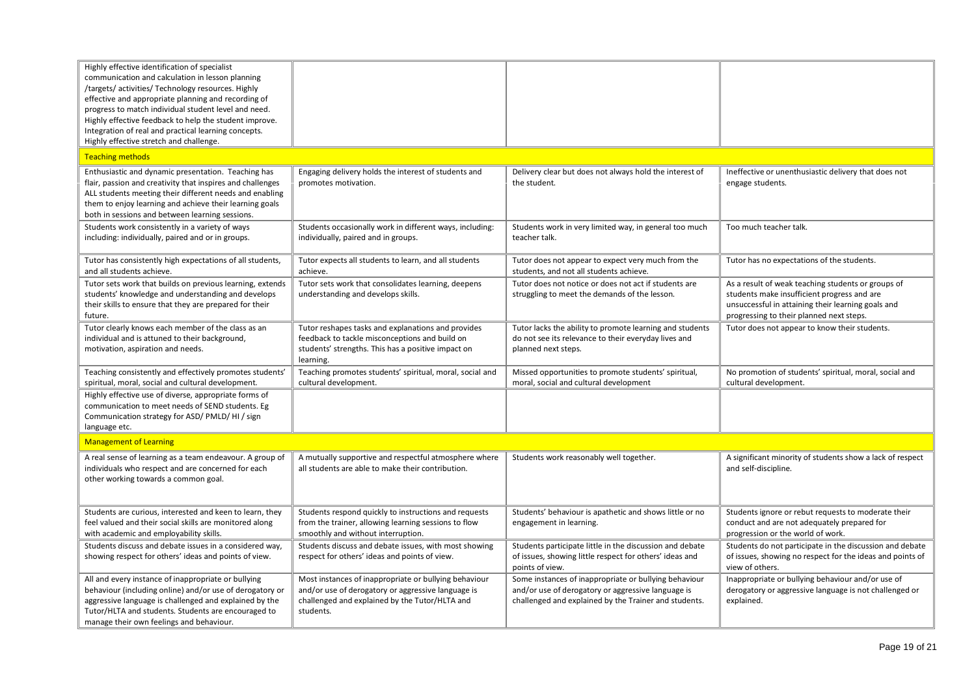| Highly effective identification of specialist<br>communication and calculation in lesson planning<br>/targets/ activities/ Technology resources. Highly<br>effective and appropriate planning and recording of<br>progress to match individual student level and need.<br>Highly effective feedback to help the student improve.<br>Integration of real and practical learning concepts.<br>Highly effective stretch and challenge. |                                                                                                                                                                            |                                                                                                                                                                      |                                                                                                                                                                                                     |
|-------------------------------------------------------------------------------------------------------------------------------------------------------------------------------------------------------------------------------------------------------------------------------------------------------------------------------------------------------------------------------------------------------------------------------------|----------------------------------------------------------------------------------------------------------------------------------------------------------------------------|----------------------------------------------------------------------------------------------------------------------------------------------------------------------|-----------------------------------------------------------------------------------------------------------------------------------------------------------------------------------------------------|
| <b>Teaching methods</b>                                                                                                                                                                                                                                                                                                                                                                                                             |                                                                                                                                                                            |                                                                                                                                                                      |                                                                                                                                                                                                     |
| Enthusiastic and dynamic presentation. Teaching has<br>flair, passion and creativity that inspires and challenges<br>ALL students meeting their different needs and enabling<br>them to enjoy learning and achieve their learning goals<br>both in sessions and between learning sessions.                                                                                                                                          | Engaging delivery holds the interest of students and<br>promotes motivation.                                                                                               | Delivery clear but does not always hold the interest of<br>the student.                                                                                              | Ineffective or unenthusiastic delivery that does not<br>engage students.                                                                                                                            |
| Students work consistently in a variety of ways<br>including: individually, paired and or in groups.                                                                                                                                                                                                                                                                                                                                | Students occasionally work in different ways, including:<br>individually, paired and in groups.                                                                            | Students work in very limited way, in general too much<br>teacher talk.                                                                                              | Too much teacher talk.                                                                                                                                                                              |
| Tutor has consistently high expectations of all students,<br>and all students achieve.                                                                                                                                                                                                                                                                                                                                              | Tutor expects all students to learn, and all students<br>achieve.                                                                                                          | Tutor does not appear to expect very much from the<br>students, and not all students achieve.                                                                        | Tutor has no expectations of the students.                                                                                                                                                          |
| Tutor sets work that builds on previous learning, extends<br>students' knowledge and understanding and develops<br>their skills to ensure that they are prepared for their<br>future.                                                                                                                                                                                                                                               | Tutor sets work that consolidates learning, deepens<br>understanding and develops skills.                                                                                  | Tutor does not notice or does not act if students are<br>struggling to meet the demands of the lesson.                                                               | As a result of weak teaching students or groups of<br>students make insufficient progress and are<br>unsuccessful in attaining their learning goals and<br>progressing to their planned next steps. |
| Tutor clearly knows each member of the class as an<br>individual and is attuned to their background,<br>motivation, aspiration and needs.                                                                                                                                                                                                                                                                                           | Tutor reshapes tasks and explanations and provides<br>feedback to tackle misconceptions and build on<br>students' strengths. This has a positive impact on<br>learning.    | Tutor lacks the ability to promote learning and students<br>do not see its relevance to their everyday lives and<br>planned next steps.                              | Tutor does not appear to know their students.                                                                                                                                                       |
| Teaching consistently and effectively promotes students'<br>spiritual, moral, social and cultural development.                                                                                                                                                                                                                                                                                                                      | Teaching promotes students' spiritual, moral, social and<br>cultural development.                                                                                          | Missed opportunities to promote students' spiritual,<br>moral, social and cultural development                                                                       | No promotion of students' spiritual, moral, social and<br>cultural development.                                                                                                                     |
| Highly effective use of diverse, appropriate forms of<br>communication to meet needs of SEND students. Eg<br>Communication strategy for ASD/ PMLD/ HI / sign<br>language etc.                                                                                                                                                                                                                                                       |                                                                                                                                                                            |                                                                                                                                                                      |                                                                                                                                                                                                     |
| <b>Management of Learning</b>                                                                                                                                                                                                                                                                                                                                                                                                       |                                                                                                                                                                            |                                                                                                                                                                      |                                                                                                                                                                                                     |
| A real sense of learning as a team endeavour. A group of<br>individuals who respect and are concerned for each<br>other working towards a common goal.                                                                                                                                                                                                                                                                              | A mutually supportive and respectful atmosphere where<br>all students are able to make their contribution.                                                                 | Students work reasonably well together.                                                                                                                              | A significant minority of students show a lack of respect<br>and self-discipline.                                                                                                                   |
| Students are curious, interested and keen to learn, they<br>feel valued and their social skills are monitored along<br>with academic and employability skills.                                                                                                                                                                                                                                                                      | Students respond quickly to instructions and requests<br>from the trainer, allowing learning sessions to flow<br>smoothly and without interruption.                        | Students' behaviour is apathetic and shows little or no<br>engagement in learning.                                                                                   | Students ignore or rebut requests to moderate their<br>conduct and are not adequately prepared for<br>progression or the world of work.                                                             |
| Students discuss and debate issues in a considered way,<br>showing respect for others' ideas and points of view.                                                                                                                                                                                                                                                                                                                    | Students discuss and debate issues, with most showing<br>respect for others' ideas and points of view.                                                                     | Students participate little in the discussion and debate<br>of issues, showing little respect for others' ideas and<br>points of view.                               | Students do not participate in the discussion and debate<br>of issues, showing no respect for the ideas and points of<br>view of others.                                                            |
| All and every instance of inappropriate or bullying<br>behaviour (including online) and/or use of derogatory or<br>aggressive language is challenged and explained by the<br>Tutor/HLTA and students. Students are encouraged to<br>manage their own feelings and behaviour.                                                                                                                                                        | Most instances of inappropriate or bullying behaviour<br>and/or use of derogatory or aggressive language is<br>challenged and explained by the Tutor/HLTA and<br>students. | Some instances of inappropriate or bullying behaviour<br>and/or use of derogatory or aggressive language is<br>challenged and explained by the Trainer and students. | Inappropriate or bullying behaviour and/or use of<br>derogatory or aggressive language is not challenged or<br>explained.                                                                           |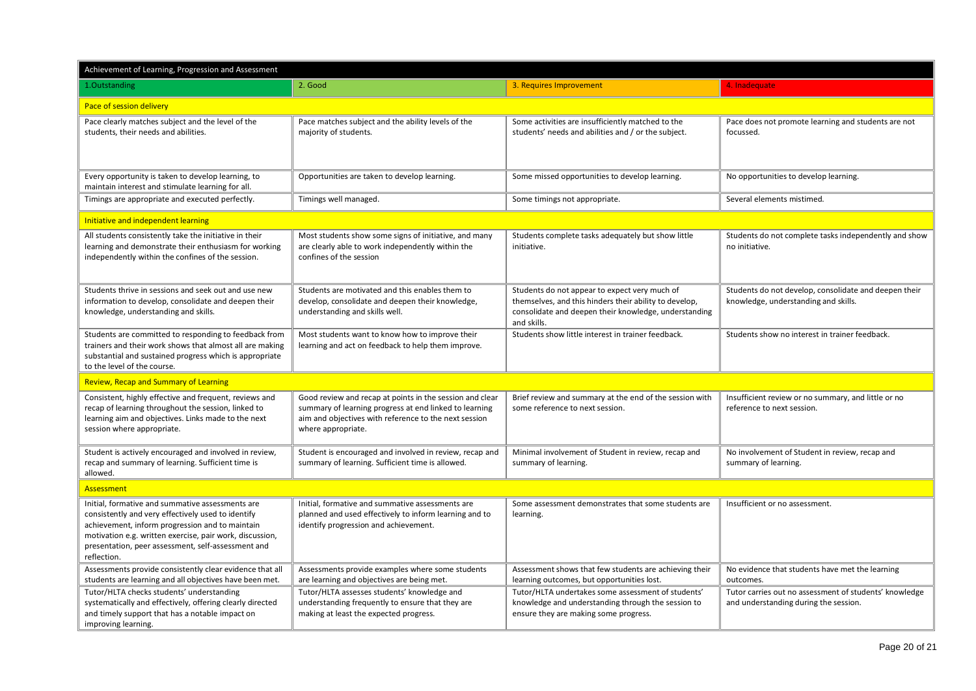| Achievement of Learning, Progression and Assessment                                                                                                                                                                                                                                        |                                                                                                                                                                                                   |                                                                                                                                                                                 |                                                                                                 |  |  |  |
|--------------------------------------------------------------------------------------------------------------------------------------------------------------------------------------------------------------------------------------------------------------------------------------------|---------------------------------------------------------------------------------------------------------------------------------------------------------------------------------------------------|---------------------------------------------------------------------------------------------------------------------------------------------------------------------------------|-------------------------------------------------------------------------------------------------|--|--|--|
| 1.Outstanding                                                                                                                                                                                                                                                                              | 2. Good                                                                                                                                                                                           | 3. Requires Improvement                                                                                                                                                         | 4. Inadequate                                                                                   |  |  |  |
| Pace of session delivery                                                                                                                                                                                                                                                                   |                                                                                                                                                                                                   |                                                                                                                                                                                 |                                                                                                 |  |  |  |
| Pace clearly matches subject and the level of the<br>students, their needs and abilities.                                                                                                                                                                                                  | Pace matches subject and the ability levels of the<br>majority of students.                                                                                                                       | Some activities are insufficiently matched to the<br>students' needs and abilities and / or the subject.                                                                        | Pace does not promote learning and students are not<br>focussed.                                |  |  |  |
| Every opportunity is taken to develop learning, to<br>maintain interest and stimulate learning for all.                                                                                                                                                                                    | Opportunities are taken to develop learning.                                                                                                                                                      | Some missed opportunities to develop learning.                                                                                                                                  | No opportunities to develop learning.                                                           |  |  |  |
| Timings are appropriate and executed perfectly.                                                                                                                                                                                                                                            | Timings well managed.                                                                                                                                                                             | Some timings not appropriate.                                                                                                                                                   | Several elements mistimed.                                                                      |  |  |  |
| Initiative and independent learning                                                                                                                                                                                                                                                        |                                                                                                                                                                                                   |                                                                                                                                                                                 |                                                                                                 |  |  |  |
| All students consistently take the initiative in their<br>learning and demonstrate their enthusiasm for working<br>independently within the confines of the session.                                                                                                                       | Most students show some signs of initiative, and many<br>are clearly able to work independently within the<br>confines of the session                                                             | Students complete tasks adequately but show little<br>initiative.                                                                                                               | Students do not complete tasks independently and show<br>no initiative.                         |  |  |  |
| Students thrive in sessions and seek out and use new<br>information to develop, consolidate and deepen their<br>knowledge, understanding and skills.                                                                                                                                       | Students are motivated and this enables them to<br>develop, consolidate and deepen their knowledge,<br>understanding and skills well.                                                             | Students do not appear to expect very much of<br>themselves, and this hinders their ability to develop,<br>consolidate and deepen their knowledge, understanding<br>and skills. | Students do not develop, consolidate and deepen their<br>knowledge, understanding and skills.   |  |  |  |
| Students are committed to responding to feedback from<br>trainers and their work shows that almost all are making<br>substantial and sustained progress which is appropriate<br>to the level of the course.                                                                                | Most students want to know how to improve their<br>learning and act on feedback to help them improve.                                                                                             | Students show little interest in trainer feedback.                                                                                                                              | Students show no interest in trainer feedback.                                                  |  |  |  |
| <b>Review, Recap and Summary of Learning</b>                                                                                                                                                                                                                                               |                                                                                                                                                                                                   |                                                                                                                                                                                 |                                                                                                 |  |  |  |
| Consistent, highly effective and frequent, reviews and<br>recap of learning throughout the session, linked to<br>learning aim and objectives. Links made to the next<br>session where appropriate.                                                                                         | Good review and recap at points in the session and clear<br>summary of learning progress at end linked to learning<br>aim and objectives with reference to the next session<br>where appropriate. | Brief review and summary at the end of the session with<br>some reference to next session.                                                                                      | Insufficient review or no summary, and little or no<br>reference to next session.               |  |  |  |
| Student is actively encouraged and involved in review,<br>recap and summary of learning. Sufficient time is<br>allowed.                                                                                                                                                                    | Student is encouraged and involved in review, recap and<br>summary of learning. Sufficient time is allowed.                                                                                       | Minimal involvement of Student in review, recap and<br>summary of learning.                                                                                                     | No involvement of Student in review, recap and<br>summary of learning.                          |  |  |  |
| Assessment                                                                                                                                                                                                                                                                                 |                                                                                                                                                                                                   |                                                                                                                                                                                 |                                                                                                 |  |  |  |
| Initial, formative and summative assessments are<br>consistently and very effectively used to identify<br>achievement, inform progression and to maintain<br>motivation e.g. written exercise, pair work, discussion,<br>presentation, peer assessment, self-assessment and<br>reflection. | Initial, formative and summative assessments are<br>planned and used effectively to inform learning and to<br>identify progression and achievement.                                               | Some assessment demonstrates that some students are<br>learning.                                                                                                                | Insufficient or no assessment.                                                                  |  |  |  |
| Assessments provide consistently clear evidence that all<br>students are learning and all objectives have been met.                                                                                                                                                                        | Assessments provide examples where some students<br>are learning and objectives are being met.                                                                                                    | Assessment shows that few students are achieving their<br>learning outcomes, but opportunities lost.                                                                            | No evidence that students have met the learning<br>outcomes.                                    |  |  |  |
| Tutor/HLTA checks students' understanding<br>systematically and effectively, offering clearly directed<br>and timely support that has a notable impact on<br>improving learning.                                                                                                           | Tutor/HLTA assesses students' knowledge and<br>understanding frequently to ensure that they are<br>making at least the expected progress.                                                         | Tutor/HLTA undertakes some assessment of students'<br>knowledge and understanding through the session to<br>ensure they are making some progress.                               | Tutor carries out no assessment of students' knowledge<br>and understanding during the session. |  |  |  |